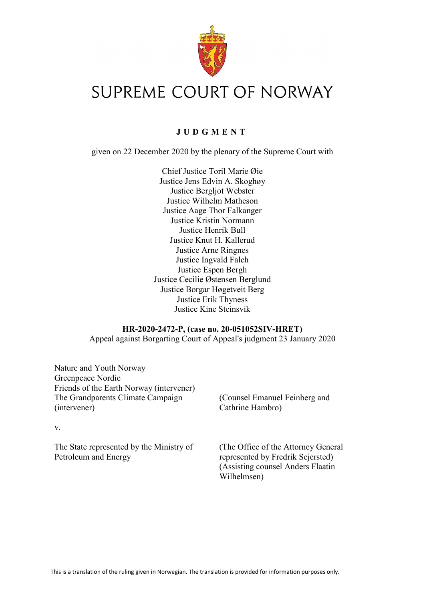

# SUPREME COURT OF NORWAY

# **JUDGMENT**

given on 22 December 2020 by the plenary of the Supreme Court with

Chief Justice Toril Marie Øie Justice Jens Edvin A. Skoghøy Justice Bergljot Webster Justice Wilhelm Matheson Justice Aage Thor Falkanger Justice Kristin Normann Justice Henrik Bull Justice Knut H. Kallerud Justice Arne Ringnes Justice Ingvald Falch Justice Espen Bergh Justice Cecilie Østensen Berglund Justice Borgar Høgetveit Berg Justice Erik Thyness Justice Kine Steinsvik

## **HR-2020-2472-P, (case no. 20-051052SIV-HRET)**

Appeal against Borgarting Court of Appeal's judgment 23 January 2020

Nature and Youth Norway Greenpeace Nordic Friends of the Earth Norway (intervener) The Grandparents Climate Campaign (intervener)

(Counsel Emanuel Feinberg and Cathrine Hambro)

The State represented by the Ministry of Petroleum and Energy

v.

(The Office of the Attorney General represented by Fredrik Sejersted) (Assisting counsel Anders Flaatin Wilhelmsen)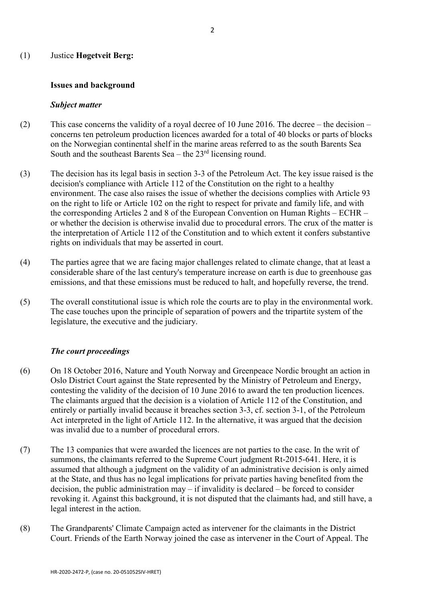#### (1) Justice **Høgetveit Berg:**

#### **Issues and background**

#### *Subject matter*

- (2) This case concerns the validity of a royal decree of 10 June 2016. The decree the decision concerns ten petroleum production licences awarded for a total of 40 blocks or parts of blocks on the Norwegian continental shelf in the marine areas referred to as the south Barents Sea South and the southeast Barents Sea – the  $23<sup>rd</sup>$  licensing round.
- (3) The decision has its legal basis in section 3-3 of the Petroleum Act. The key issue raised is the decision's compliance with Article 112 of the Constitution on the right to a healthy environment. The case also raises the issue of whether the decisions complies with Article 93 on the right to life or Article 102 on the right to respect for private and family life, and with the corresponding Articles 2 and 8 of the European Convention on Human Rights – ECHR – or whether the decision is otherwise invalid due to procedural errors. The crux of the matter is the interpretation of Article 112 of the Constitution and to which extent it confers substantive rights on individuals that may be asserted in court.
- (4) The parties agree that we are facing major challenges related to climate change, that at least a considerable share of the last century's temperature increase on earth is due to greenhouse gas emissions, and that these emissions must be reduced to halt, and hopefully reverse, the trend.
- (5) The overall constitutional issue is which role the courts are to play in the environmental work. The case touches upon the principle of separation of powers and the tripartite system of the legislature, the executive and the judiciary.

## *The court proceedings*

- (6) On 18 October 2016, Nature and Youth Norway and Greenpeace Nordic brought an action in Oslo District Court against the State represented by the Ministry of Petroleum and Energy, contesting the validity of the decision of 10 June 2016 to award the ten production licences. The claimants argued that the decision is a violation of Article 112 of the Constitution, and entirely or partially invalid because it breaches section 3-3, cf. section 3-1, of the Petroleum Act interpreted in the light of Article 112. In the alternative, it was argued that the decision was invalid due to a number of procedural errors.
- (7) The 13 companies that were awarded the licences are not parties to the case. In the writ of summons, the claimants referred to the Supreme Court judgment Rt-2015-641. Here, it is assumed that although a judgment on the validity of an administrative decision is only aimed at the State, and thus has no legal implications for private parties having benefited from the decision, the public administration may – if invalidity is declared – be forced to consider revoking it. Against this background, it is not disputed that the claimants had, and still have, a legal interest in the action.
- (8) The Grandparents' Climate Campaign acted as intervener for the claimants in the District Court. Friends of the Earth Norway joined the case as intervener in the Court of Appeal. The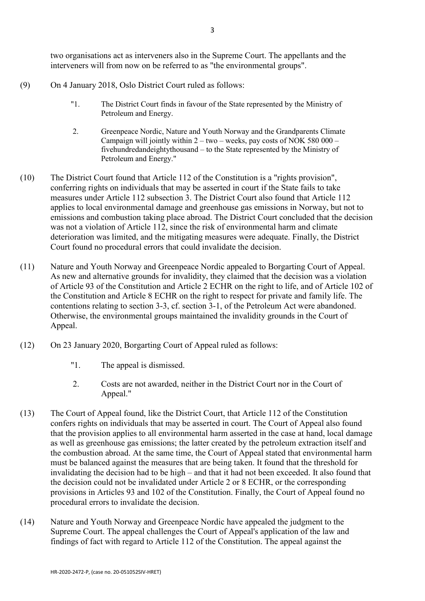two organisations act as interveners also in the Supreme Court. The appellants and the interveners will from now on be referred to as "the environmental groups".

- (9) On 4 January 2018, Oslo District Court ruled as follows:
	- "1. The District Court finds in favour of the State represented by the Ministry of Petroleum and Energy.
	- 2. Greenpeace Nordic, Nature and Youth Norway and the Grandparents Climate Campaign will jointly within  $2 - two - weeks$ , pay costs of NOK 580 000 – fivehundredandeightythousand – to the State represented by the Ministry of Petroleum and Energy."
- (10) The District Court found that [Article 112 of the Constitution i](https://lovdata.no/pro#reference/lov/1814-05-17/%C2%A7112)s a "rights provision", conferring rights on individuals that may be asserted in court if the State fails to take measures under Article 112 subsection 3. The District Court also found that Article 112 applies to local environmental damage and greenhouse gas emissions in Norway, but not to emissions and combustion taking place abroad. The District Court concluded that the decision was not a violation of Article 112, since the risk of environmental harm and climate deterioration was limited, and the mitigating measures were adequate. Finally, the District Court found no procedural errors that could invalidate the decision.
- (11) Nature and Youth Norway and Greenpeace Nordic appealed to Borgarting Court of Appeal. As new and alternative grounds for invalidity, they claimed that the decision was a violation of Article 93 of the Constitution and Article 2 ECHR on the right to life, and of Article 102 of the Constitution and Article 8 ECHR on the right to respect for private and family life. The contentions relating to section 3-3, cf. section 3-1, of the Petroleum Act were abandoned. Otherwise, the environmental groups maintained the invalidity grounds in the Court of Appeal.
- (12) On 23 January 2020, Borgarting Court of Appeal ruled as follows:
	- "1. The appeal is dismissed.
	- 2. Costs are not awarded, neither in the District Court nor in the Court of Appeal."
- (13) The Court of Appeal found, like the District Court, that [Article 112 of the Constitution](https://lovdata.no/pro#reference/lov/1814-05-17/%C2%A7112)  confers rights on individuals that may be asserted in court. The Court of Appeal also found that the provision applies to all environmental harm asserted in the case at hand, local damage as well as greenhouse gas emissions; the latter created by the petroleum extraction itself and the combustion abroad. At the same time, the Court of Appeal stated that environmental harm must be balanced against the measures that are being taken. It found that the threshold for invalidating the decision had to be high – and that it had not been exceeded. It also found that the decision could not be invalidated under Article 2 or 8 ECHR, or the corresponding provisions in Articles 93 and 102 of the Constitution. Finally, the Court of Appeal found no procedural errors to invalidate the decision.
- (14) Nature and Youth Norway and Greenpeace Nordic have appealed the judgment to the Supreme Court. The appeal challenges the Court of Appeal's application of the law and findings of fact with regard to Article 112 of the Constitution. The appeal against the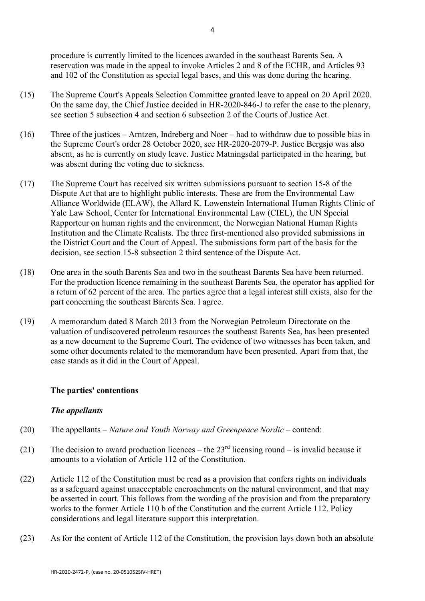procedure is currently limited to the licences awarded in the southeast Barents Sea. A reservation was made in the appeal to invoke Articles 2 and 8 of the ECHR, and Articles 93 and 102 of the Constitution as special legal bases, and this was done during the hearing.

- (15) The Supreme Court's Appeals Selection Committee granted leave to appeal on 20 April 2020. On the same day, the Chief Justice decided in HR-2020-846-J to refer the case to the plenary, see section 5 subsection 4 and section 6 subsection 2 of the Courts of Justice Act.
- (16) Three of the justices Arntzen, Indreberg and Noer had to withdraw due to possible bias in the Supreme Court's order 28 October 2020, see HR-2020-2079-P. Justice Bergsjø was also absent, as he is currently on study leave. Justice Matningsdal participated in the hearing, but was absent during the voting due to sickness.
- (17) The Supreme Court has received six written submissions pursuant to section 15-8 of the Dispute Act that are to highlight public interests. These are from the Environmental Law Alliance Worldwide (ELAW), the Allard K. Lowenstein International Human Rights Clinic of Yale Law School, Center for International Environmental Law (CIEL), the UN Special Rapporteur on human rights and the environment, the Norwegian National Human Rights Institution and the Climate Realists. The three first-mentioned also provided submissions in the District Court and the Court of Appeal. The submissions form part of the basis for the decision, see section 15-8 subsection 2 third sentence of the Dispute Act.
- (18) One area in the south Barents Sea and two in the southeast Barents Sea have been returned. For the production licence remaining in the southeast Barents Sea, the operator has applied for a return of 62 percent of the area. The parties agree that a legal interest still exists, also for the part concerning the southeast Barents Sea. I agree.
- (19) A memorandum dated 8 March 2013 from the Norwegian Petroleum Directorate on the valuation of undiscovered petroleum resources the southeast Barents Sea, has been presented as a new document to the Supreme Court. The evidence of two witnesses has been taken, and some other documents related to the memorandum have been presented. Apart from that, the case stands as it did in the Court of Appeal.

# **The parties' contentions**

## *The appellants*

- (20) The appellants *Nature and Youth Norway and Greenpeace Nordic* contend:
- (21) The decision to award production licences the  $23<sup>rd</sup>$  licensing round is invalid because it amounts to a violation of [Article 112 of the Constitution.](https://lovdata.no/pro#reference/lov/1814-05-17/%C2%A7112)
- (22) [Article 112 of the Constitution](https://lovdata.no/pro#reference/lov/1814-05-17/%C2%A7112) must be read as a provision that confers rights on individuals as a safeguard against unacceptable encroachments on the natural environment, and that may be asserted in court. This follows from the wording of the provision and from the preparatory works to the former Article 110 b of the Constitution and the current Article 112. Policy considerations and legal literature support this interpretation.
- (23) As for the content of Article 112 of the Constitution, the provision lays down both an absolute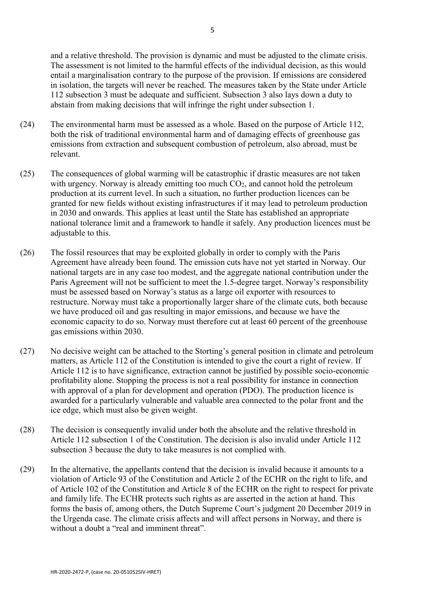and a relative threshold. The provision is dynamic and must be adjusted to the climate crisis. The assessment is not limited to the harmful effects of the individual decision, as this would entail a marginalisation contrary to the purpose of the provision. If emissions are considered in isolation, the targets will never be reached. The measures taken by the State under Article 112 subsection 3 must be adequate and sufficient. Subsection 3 also lays down a duty to abstain from making decisions that will infringe the right under subsection 1.

- (24) The environmental harm must be assessed as a whole. Based on the purpose of Article 112, both the risk of traditional environmental harm and of damaging effects of greenhouse gas emissions from extraction and subsequent combustion of petroleum, also abroad, must be relevant.
- (25) The consequences of global warming will be catastrophic if drastic measures are not taken with urgency. Norway is already emitting too much  $CO<sub>2</sub>$ , and cannot hold the petroleum production at its current level. In such a situation, no further production licences can be granted for new fields without existing infrastructures if it may lead to petroleum production in 2030 and onwards. This applies at least until the State has established an appropriate national tolerance limit and a framework to handle it safely. Any production licences must be adjustable to this.
- (26) The fossil resources that may be exploited globally in order to comply with the Paris Agreement have already been found. The emission cuts have not yet started in Norway. Our national targets are in any case too modest, and the aggregate national contribution under the Paris Agreement will not be sufficient to meet the 1.5-degree target. Norway's responsibility must be assessed based on Norway's status as a large oil exporter with resources to restructure. Norway must take a proportionally larger share of the climate cuts, both because we have produced oil and gas resulting in major emissions, and because we have the economic capacity to do so. Norway must therefore cut at least 60 percent of the greenhouse gas emissions within 2030.
- (27) No decisive weight can be attached to the Storting's general position in climate and petroleum matters, as Article 112 of the Constitution is intended to give the court a right of review. If [Article 112](https://lovdata.no/pro#reference/lov/1814-05-17/%C2%A7112) is to have significance, extraction cannot be justified by possible socio-economic profitability alone. Stopping the process is not a real possibility for instance in connection with approval of a plan for development and operation (PDO). The production licence is awarded for a particularly vulnerable and valuable area connected to the polar front and the ice edge, which must also be given weight.
- (28) The decision is consequently invalid under both the absolute and the relative threshold in Article 112 subsection 1 of the Constitution. The decision is also invalid under Article 112 subsection 3 because the duty to take measures is not complied with.
- (29) In the alternative, the appellants contend that the decision is invalid because it amounts to a violation of [Article 93 of the Constitution](https://lovdata.no/pro#reference/lov/1814-05-17/%C2%A793) and Article 2 of the ECHR on the right to life, and of Article 102 of the Constitution and Article 8 of the ECHR on the right to respect for private and family life. The ECHR protects such rights as are asserted in the action at hand. This forms the basis of, among others, the Dutch Supreme Court's judgment 20 December 2019 in the Urgenda case. The climate crisis affects and will affect persons in Norway, and there is without a doubt a "real and imminent threat".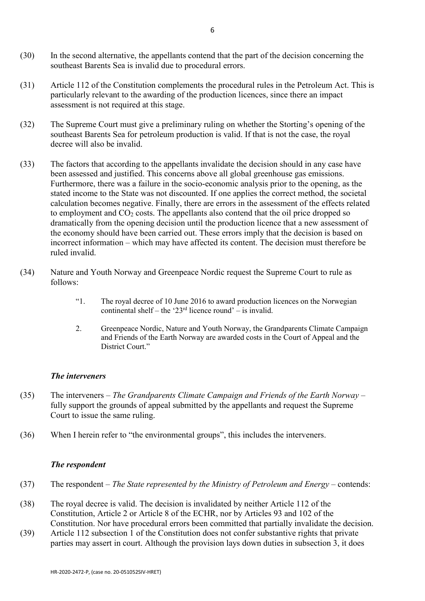- (30) In the second alternative, the appellants contend that the part of the decision concerning the southeast Barents Sea is invalid due to procedural errors.
- (31) [Article 112 of the Constitution](https://lovdata.no/pro#reference/lov/1814-05-17/%C2%A7112) complements the procedural rules in the Petroleum Act. This is particularly relevant to the awarding of the production licences, since there an impact assessment is not required at this stage.
- (32) The Supreme Court must give a preliminary ruling on whether the Storting's opening of the southeast Barents Sea for petroleum production is valid. If that is not the case, the royal decree will also be invalid.
- (33) The factors that according to the appellants invalidate the decision should in any case have been assessed and justified. This concerns above all global greenhouse gas emissions. Furthermore, there was a failure in the socio-economic analysis prior to the opening, as the stated income to the State was not discounted. If one applies the correct method, the societal calculation becomes negative. Finally, there are errors in the assessment of the effects related to employment and  $CO<sub>2</sub>$  costs. The appellants also contend that the oil price dropped so dramatically from the opening decision until the production licence that a new assessment of the economy should have been carried out. These errors imply that the decision is based on incorrect information – which may have affected its content. The decision must therefore be ruled invalid.
- (34) Nature and Youth Norway and Greenpeace Nordic request the Supreme Court to rule as follows:
	- "1. The royal decree of 10 June 2016 to award production licences on the Norwegian continental shelf – the ' $23<sup>rd</sup>$  licence round' – is invalid.
	- 2. Greenpeace Nordic, Nature and Youth Norway, the Grandparents Climate Campaign and Friends of the Earth Norway are awarded costs in the Court of Appeal and the District Court."

## *The interveners*

- (35) The interveners *The Grandparents Climate Campaign and Friends of the Earth Norway*  fully support the grounds of appeal submitted by the appellants and request the Supreme Court to issue the same ruling.
- (36) When I herein refer to "the environmental groups", this includes the interveners.

## *The respondent*

- (37) The respondent *The State represented by the Ministry of Petroleum and Energy –* contends:
- (38) The royal decree is valid. The decision is invalidated by neither Article 112 of the Constitution, Article 2 or Article 8 of the ECHR, nor by Articles 93 and 102 of the Constitution. Nor have procedural errors been committed that partially invalidate the decision.
- (39) Article 112 subsection 1 of the Constitution does not confer substantive rights that private parties may assert in court. Although the provision lays down duties in subsection 3, it does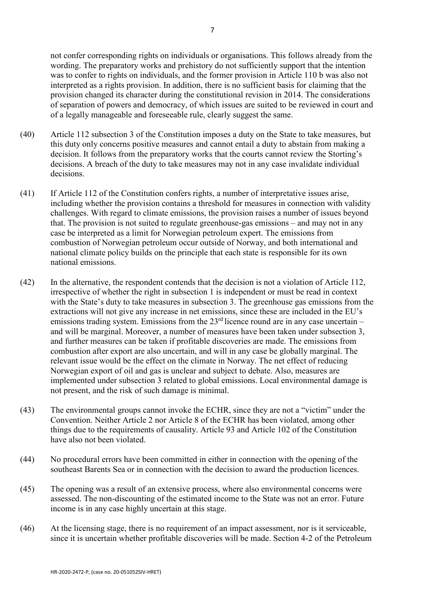not confer corresponding rights on individuals or organisations. This follows already from the wording. The preparatory works and prehistory do not sufficiently support that the intention was to confer to rights on individuals, and the former provision in Article 110 b was also not interpreted as a rights provision. In addition, there is no sufficient basis for claiming that the provision changed its character during the constitutional revision in 2014. The considerations of separation of powers and democracy, of which issues are suited to be reviewed in court and of a legally manageable and foreseeable rule, clearly suggest the same.

- (40) Article 112 subsection 3 of the Constitution imposes a duty on the State to take measures, but this duty only concerns positive measures and cannot entail a duty to abstain from making a decision. It follows from the preparatory works that the courts cannot review the Storting's decisions. A breach of the duty to take measures may not in any case invalidate individual decisions.
- (41) If Article 112 of the Constitution confers rights, a number of interpretative issues arise, including whether the provision contains a threshold for measures in connection with validity challenges. With regard to climate emissions, the provision raises a number of issues beyond that. The provision is not suited to regulate greenhouse-gas emissions – and may not in any case be interpreted as a limit for Norwegian petroleum expert. The emissions from combustion of Norwegian petroleum occur outside of Norway, and both international and national climate policy builds on the principle that each state is responsible for its own national emissions.
- (42) In the alternative, the respondent contends that the decision is not a violation of [Article 112,](https://lovdata.no/pro#reference/lov/1814-05-17/%C2%A7112) irrespective of whether the right in subsection 1 is independent or must be read in context with the State's duty to take measures in subsection 3. The greenhouse gas emissions from the extractions will not give any increase in net emissions, since these are included in the EU's emissions trading system. Emissions from the  $23<sup>rd</sup>$  licence round are in any case uncertain – and will be marginal. Moreover, a number of measures have been taken under subsection 3, and further measures can be taken if profitable discoveries are made. The emissions from combustion after export are also uncertain, and will in any case be globally marginal. The relevant issue would be the effect on the climate in Norway. The net effect of reducing Norwegian export of oil and gas is unclear and subject to debate. Also, measures are implemented under subsection 3 related to global emissions. Local environmental damage is not present, and the risk of such damage is minimal.
- (43) The environmental groups cannot invoke the ECHR, since they are not a "victim" under the Convention. Neither Article 2 nor Article 8 of the ECHR has been violated, among other things due to the requirements of causality. Article 93 and Article 102 of the Constitution have also not been violated.
- (44) No procedural errors have been committed in either in connection with the opening of the southeast Barents Sea or in connection with the decision to award the production licences.
- (45) The opening was a result of an extensive process, where also environmental concerns were assessed. The non-discounting of the estimated income to the State was not an error. Future income is in any case highly uncertain at this stage.
- (46) At the licensing stage, there is no requirement of an impact assessment, nor is it serviceable, since it is uncertain whether profitable discoveries will be made. Section 4-2 of the Petroleum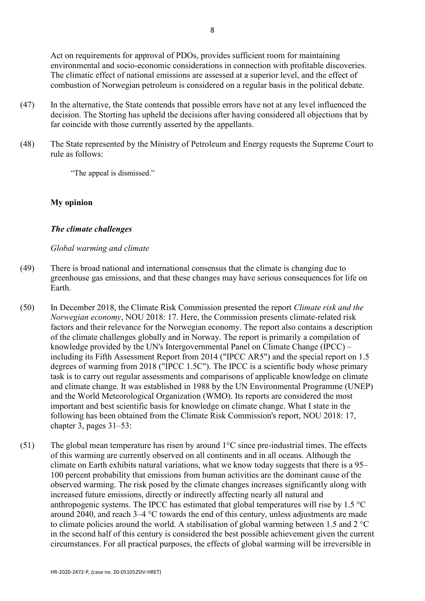Act on requirements for approval of PDOs, provides sufficient room for maintaining environmental and socio-economic considerations in connection with profitable discoveries. The climatic effect of national emissions are assessed at a superior level, and the effect of combustion of Norwegian petroleum is considered on a regular basis in the political debate.

- (47) In the alternative, the State contends that possible errors have not at any level influenced the decision. The Storting has upheld the decisions after having considered all objections that by far coincide with those currently asserted by the appellants.
- (48) The State represented by the Ministry of Petroleum and Energy requests the Supreme Court to rule as follows:

"The appeal is dismissed."

# **My opinion**

# *The climate challenges*

# *Global warming and climate*

- (49) There is broad national and international consensus that the climate is changing due to greenhouse gas emissions, and that these changes may have serious consequences for life on Earth.
- (50) In December 2018, the Climate Risk Commission presented the report *Climate risk and the Norwegian economy*, NOU 2018: 17. Here, the Commission presents climate-related risk factors and their relevance for the Norwegian economy. The report also contains a description of the climate challenges globally and in Norway. The report is primarily a compilation of knowledge provided by the UN's Intergovernmental Panel on Climate Change (IPCC) – including its Fifth Assessment Report from 2014 ("IPCC AR5") and the special report on 1.5 degrees of warming from 2018 ("IPCC 1.5C"). The IPCC is a scientific body whose primary task is to carry out regular assessments and comparisons of applicable knowledge on climate and climate change. It was established in 1988 by the UN Environmental Programme (UNEP) and the World Meteorological Organization (WMO). Its reports are considered the most important and best scientific basis for knowledge on climate change. What I state in the following has been obtained from the Climate Risk Commission's report, NOU 2018: 17, chapter 3, pages 31–53:
- (51) The global mean temperature has risen by around  $1^{\circ}$ C since pre-industrial times. The effects of this warming are currently observed on all continents and in all oceans. Although the climate on Earth exhibits natural variations, what we know today suggests that there is a 95– 100 percent probability that emissions from human activities are the dominant cause of the observed warming. The risk posed by the climate changes increases significantly along with increased future emissions, directly or indirectly affecting nearly all natural and anthropogenic systems. The IPCC has estimated that global temperatures will rise by 1.5 °C around 2040, and reach 3–4 °C towards the end of this century, unless adjustments are made to climate policies around the world. A stabilisation of global warming between 1.5 and 2 °C in the second half of this century is considered the best possible achievement given the current circumstances. For all practical purposes, the effects of global warming will be irreversible in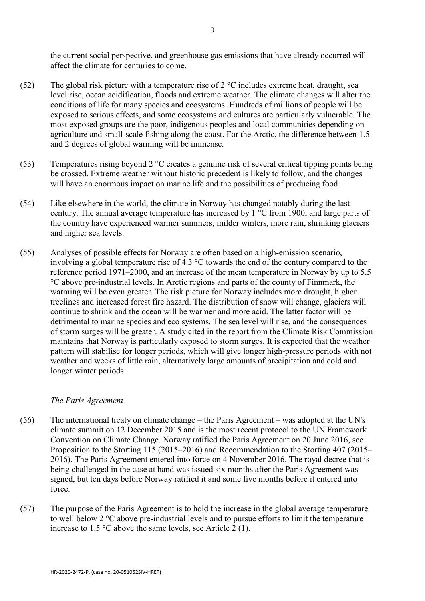the current social perspective, and greenhouse gas emissions that have already occurred will affect the climate for centuries to come.

- (52) The global risk picture with a temperature rise of  $2^{\circ}$ C includes extreme heat, draught, sea level rise, ocean acidification, floods and extreme weather. The climate changes will alter the conditions of life for many species and ecosystems. Hundreds of millions of people will be exposed to serious effects, and some ecosystems and cultures are particularly vulnerable. The most exposed groups are the poor, indigenous peoples and local communities depending on agriculture and small-scale fishing along the coast. For the Arctic, the difference between 1.5 and 2 degrees of global warming will be immense.
- (53) Temperatures rising beyond 2 °C creates a genuine risk of several critical tipping points being be crossed. Extreme weather without historic precedent is likely to follow, and the changes will have an enormous impact on marine life and the possibilities of producing food.
- (54) Like elsewhere in the world, the climate in Norway has changed notably during the last century. The annual average temperature has increased by 1 °C from 1900, and large parts of the country have experienced warmer summers, milder winters, more rain, shrinking glaciers and higher sea levels.
- (55) Analyses of possible effects for Norway are often based on a high-emission scenario, involving a global temperature rise of 4.3 °C towards the end of the century compared to the reference period 1971–2000, and an increase of the mean temperature in Norway by up to 5.5 °C above pre-industrial levels. In Arctic regions and parts of the county of Finnmark, the warming will be even greater. The risk picture for Norway includes more drought, higher treelines and increased forest fire hazard. The distribution of snow will change, glaciers will continue to shrink and the ocean will be warmer and more acid. The latter factor will be detrimental to marine species and eco systems. The sea level will rise, and the consequences of storm surges will be greater. A study cited in the report from the Climate Risk Commission maintains that Norway is particularly exposed to storm surges. It is expected that the weather pattern will stabilise for longer periods, which will give longer high-pressure periods with not weather and weeks of little rain, alternatively large amounts of precipitation and cold and longer winter periods.

## *The Paris Agreement*

- (56) The international treaty on climate change the Paris Agreement was adopted at the UN's climate summit on 12 December 2015 and is the most recent protocol to the UN Framework Convention on Climate Change. Norway ratified the Paris Agreement on 20 June 2016, see Proposition to the Storting 115 (2015–2016) and Recommendation to the Storting 407 (2015– 2016). The Paris Agreement entered into force on 4 November 2016. The royal decree that is being challenged in the case at hand was issued six months after the Paris Agreement was signed, but ten days before Norway ratified it and some five months before it entered into force.
- (57) The purpose of the Paris Agreement is to hold the increase in the global average temperature to well below 2 °C above pre-industrial levels and to pursue efforts to limit the temperature increase to 1.5 °C above the same levels, see Article 2 (1).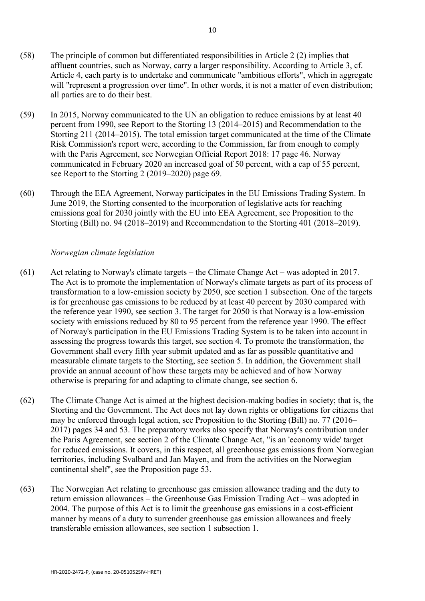- (58) The principle of common but differentiated responsibilities in Article 2 (2) implies that affluent countries, such as Norway, carry a larger responsibility. According to Article 3, cf. Article 4, each party is to undertake and communicate "ambitious efforts", which in aggregate will "represent a progression over time". In other words, it is not a matter of even distribution; all parties are to do their best.
- (59) In 2015, Norway communicated to the UN an obligation to reduce emissions by at least 40 percent from 1990, see Report to the Storting 13 (2014–2015) and Recommendation to the Storting 211 (2014–2015). The total emission target communicated at the time of the Climate Risk Commission's report were, according to the Commission, far from enough to comply with the Paris Agreement, see Norwegian Official Report 2018: 17 page 46. Norway communicated in February 2020 an increased goal of 50 percent, with a cap of 55 percent, see Report to the Storting 2 (2019–2020) page 69.
- (60) Through the EEA Agreement, Norway participates in the EU Emissions Trading System. In June 2019, the Storting consented to the incorporation of legislative acts for reaching emissions goal for 2030 jointly with the EU into EEA Agreement, see Proposition to the Storting (Bill) no. 94 (2018–2019) and Recommendation to the Storting 401 (2018–2019).

# *Norwegian climate legislation*

- (61) Act relating to Norway's climate targets the Climate Change Act was adopted in 2017. The Act is to promote the implementation of Norway's climate targets as part of its process of transformation to a low-emission society by 2050, see section 1 subsection. One of the targets is for greenhouse gas emissions to be reduced by at least 40 percent by 2030 compared with the reference year 1990, see section 3. The target for 2050 is that Norway is a low-emission society with emissions reduced by 80 to 95 percent from the reference year 1990. The effect of Norway's participation in the EU Emissions Trading System is to be taken into account in assessing the progress towards this target, see section 4. To promote the transformation, the Government shall every fifth year submit updated and as far as possible quantitative and measurable climate targets to the Storting, see section 5. In addition, the Government shall provide an annual account of how these targets may be achieved and of how Norway otherwise is preparing for and adapting to climate change, see section 6.
- (62) The Climate Change Act is aimed at the highest decision-making bodies in society; that is, the Storting and the Government. The Act does not lay down rights or obligations for citizens that may be enforced through legal action, see Proposition to the Storting (Bill) no. 77 (2016– 2017) pages 34 and 53. The preparatory works also specify that Norway's contribution under the Paris Agreement, see section 2 of the Climate Change Act, "is an 'economy wide' target for reduced emissions. It covers, in this respect, all greenhouse gas emissions from Norwegian territories, including Svalbard and Jan Mayen, and from the activities on the Norwegian continental shelf", see the Proposition page 53.
- (63) The Norwegian Act relating to greenhouse gas emission allowance trading and the duty to return emission allowances – the Greenhouse Gas Emission Trading Act – was adopted in 2004. The purpose of this Act is to limit the greenhouse gas emissions in a cost-efficient manner by means of a duty to surrender greenhouse gas emission allowances and freely transferable emission allowances, see section 1 subsection 1.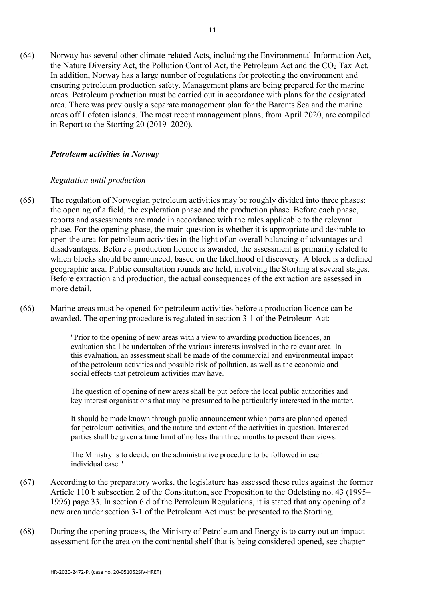(64) Norway has several other climate-related Acts, including the Environmental Information Act, the Nature Diversity Act, the Pollution Control Act, the Petroleum Act and the  $CO<sub>2</sub>$  Tax Act. In addition, Norway has a large number of regulations for protecting the environment and ensuring petroleum production safety. Management plans are being prepared for the marine areas. Petroleum production must be carried out in accordance with plans for the designated area. There was previously a separate management plan for the Barents Sea and the marine areas off Lofoten islands. The most recent management plans, from April 2020, are compiled in Report to the Storting 20 (2019–2020).

#### *Petroleum activities in Norway*

#### *Regulation until production*

- (65) The regulation of Norwegian petroleum activities may be roughly divided into three phases: the opening of a field, the exploration phase and the production phase. Before each phase, reports and assessments are made in accordance with the rules applicable to the relevant phase. For the opening phase, the main question is whether it is appropriate and desirable to open the area for petroleum activities in the light of an overall balancing of advantages and disadvantages. Before a production licence is awarded, the assessment is primarily related to which blocks should be announced, based on the likelihood of discovery. A block is a defined geographic area. Public consultation rounds are held, involving the Storting at several stages. Before extraction and production, the actual consequences of the extraction are assessed in more detail.
- (66) Marine areas must be opened for petroleum activities before a production licence can be awarded. The opening procedure is regulated in [section 3-1 of the Petroleum Act:](https://lovdata.no/pro#reference/lov/1996-11-29-72/%C2%A73-1)

"Prior to the opening of new areas with a view to awarding production licences, an evaluation shall be undertaken of the various interests involved in the relevant area. In this evaluation, an assessment shall be made of the commercial and environmental impact of the petroleum activities and possible risk of pollution, as well as the economic and social effects that petroleum activities may have.

The question of opening of new areas shall be put before the local public authorities and key interest organisations that may be presumed to be particularly interested in the matter.

It should be made known through public announcement which parts are planned opened for petroleum activities, and the nature and extent of the activities in question. Interested parties shall be given a time limit of no less than three months to present their views.

The Ministry is to decide on the administrative procedure to be followed in each individual case."

- (67) According to the preparatory works, the legislature has assessed these rules against the former Article 110 b subsection 2 of the Constitution, see Proposition to the Odelsting no. 43 (1995– 1996) page 33. In section 6 d of the Petroleum Regulations, it is stated that any opening of a new area under section 3-1 of the Petroleum Act must be presented to the Storting.
- (68) During the opening process, the Ministry of Petroleum and Energy is to carry out an impact assessment for the area on the continental shelf that is being considered opened, see chapter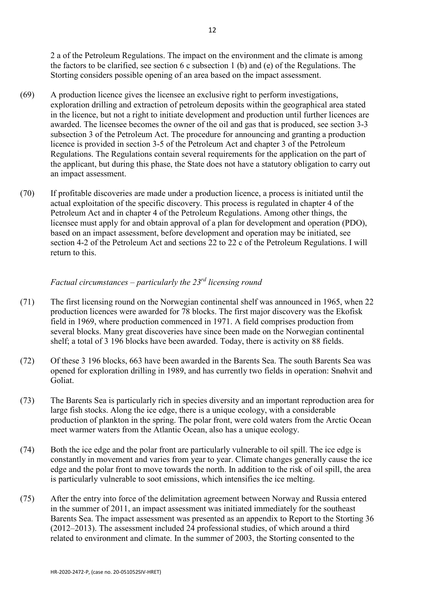2 a of the Petroleum Regulations. The impact on the environment and the climate is among the factors to be clarified, see section 6 c subsection 1 (b) and (e) of the Regulations. The Storting considers possible opening of an area based on the impact assessment.

- (69) A production licence gives the licensee an exclusive right to perform investigations, exploration drilling and extraction of petroleum deposits within the geographical area stated in the licence, but not a right to initiate development and production until further licences are awarded. The licensee becomes the owner of the oil and gas that is produced, see section 3-3 subsection 3 of the Petroleum Act. The procedure for announcing and granting a production licence is provided in section 3-5 of the Petroleum Act and chapter 3 of the Petroleum Regulations. The Regulations contain several requirements for the application on the part of the applicant, but during this phase, the State does not have a statutory obligation to carry out an impact assessment.
- (70) If profitable discoveries are made under a production licence, a process is initiated until the actual exploitation of the specific discovery. This process is regulated in chapter 4 of the Petroleum Act and in chapter 4 of the Petroleum Regulations. Among other things, the licensee must apply for and obtain approval of a plan for development and operation (PDO), based on an impact assessment, before development and operation may be initiated, see [section 4-2 of the Petroleum Act](https://lovdata.no/pro#reference/lov/1996-11-29-72/%C2%A74-2) and sections 22 to 22 c of the Petroleum Regulations. I will return to this.

# *Factual circumstances – particularly the 23rd licensing round*

- (71) The first licensing round on the Norwegian continental shelf was announced in 1965, when 22 production licences were awarded for 78 blocks. The first major discovery was the Ekofisk field in 1969, where production commenced in 1971. A field comprises production from several blocks. Many great discoveries have since been made on the Norwegian continental shelf; a total of 3 196 blocks have been awarded. Today, there is activity on 88 fields.
- (72) Of these 3 196 blocks, 663 have been awarded in the Barents Sea. The south Barents Sea was opened for exploration drilling in 1989, and has currently two fields in operation: Snøhvit and Goliat.
- (73) The Barents Sea is particularly rich in species diversity and an important reproduction area for large fish stocks. Along the ice edge, there is a unique ecology, with a considerable production of plankton in the spring. The polar front, were cold waters from the Arctic Ocean meet warmer waters from the Atlantic Ocean, also has a unique ecology.
- (74) Both the ice edge and the polar front are particularly vulnerable to oil spill. The ice edge is constantly in movement and varies from year to year. Climate changes generally cause the ice edge and the polar front to move towards the north. In addition to the risk of oil spill, the area is particularly vulnerable to soot emissions, which intensifies the ice melting.
- (75) After the entry into force of the delimitation agreement between Norway and Russia entered in the summer of 2011, an impact assessment was initiated immediately for the southeast Barents Sea. The impact assessment was presented as an appendix to Report to the Storting 36 (2012–2013). The assessment included 24 professional studies, of which around a third related to environment and climate. In the summer of 2003, the Storting consented to the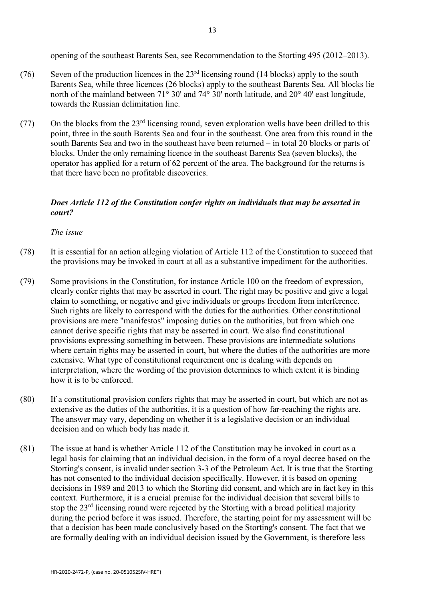opening of the southeast Barents Sea, see [Recommendation to the Storting](https://lovdata.no/pro#reference/forarbeid/inns-433-s-201011) 495 (2012–2013).

- (76) Seven of the production licences in the  $23<sup>rd</sup>$  licensing round (14 blocks) apply to the south Barents Sea, while three licences (26 blocks) apply to the southeast Barents Sea. All blocks lie north of the mainland between  $71^{\circ}$  30' and  $74^{\circ}$  30' north latitude, and 20° 40' east longitude, towards the Russian delimitation line.
- (77) On the blocks from the  $23<sup>rd</sup>$  licensing round, seven exploration wells have been drilled to this point, three in the south Barents Sea and four in the southeast. One area from this round in the south Barents Sea and two in the southeast have been returned – in total 20 blocks or parts of blocks. Under the only remaining licence in the southeast Barents Sea (seven blocks), the operator has applied for a return of 62 percent of the area. The background for the returns is that there have been no profitable discoveries.

# *Does Article 112 of the Constitution confer rights on individuals that may be asserted in court?*

*The issue*

- (78) It is essential for an action alleging violation of Article 112 of the Constitution to succeed that the provisions may be invoked in court at all as a substantive impediment for the authorities.
- (79) Some provisions in the Constitution, for instance Article 100 on the freedom of expression, clearly confer rights that may be asserted in court. The right may be positive and give a legal claim to something, or negative and give individuals or groups freedom from interference. Such rights are likely to correspond with the duties for the authorities. Other constitutional provisions are mere "manifestos" imposing duties on the authorities, but from which one cannot derive specific rights that may be asserted in court. We also find constitutional provisions expressing something in between. These provisions are intermediate solutions where certain rights may be asserted in court, but where the duties of the authorities are more extensive. What type of constitutional requirement one is dealing with depends on interpretation, where the wording of the provision determines to which extent it is binding how it is to be enforced.
- (80) If a constitutional provision confers rights that may be asserted in court, but which are not as extensive as the duties of the authorities, it is a question of how far-reaching the rights are. The answer may vary, depending on whether it is a legislative decision or an individual decision and on which body has made it.
- (81) The issue at hand is whether Article 112 of the Constitution may be invoked in court as a legal basis for claiming that an individual decision, in the form of a royal decree based on the Storting's consent, is invalid under section 3-3 of the Petroleum Act. It is true that the Storting has not consented to the individual decision specifically. However, it is based on opening decisions in 1989 and 2013 to which the Storting did consent, and which are in fact key in this context. Furthermore, it is a crucial premise for the individual decision that several bills to stop the 23<sup>rd</sup> licensing round were rejected by the Storting with a broad political majority during the period before it was issued. Therefore, the starting point for my assessment will be that a decision has been made conclusively based on the Storting's consent. The fact that we are formally dealing with an individual decision issued by the Government, is therefore less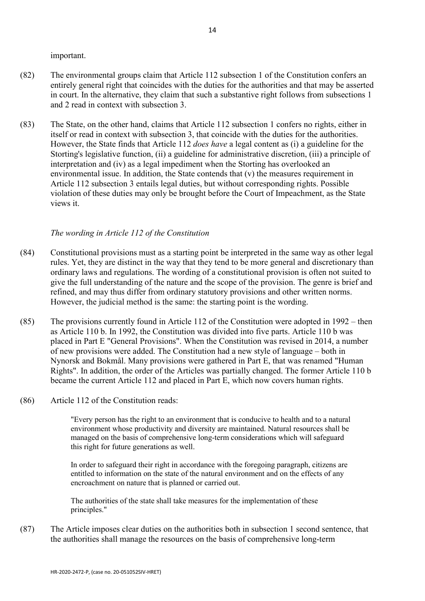important.

- (82) The environmental groups claim that Article 112 subsection 1 of the Constitution confers an entirely general right that coincides with the duties for the authorities and that may be asserted in court. In the alternative, they claim that such a substantive right follows from subsections 1 and 2 read in context with subsection 3.
- (83) The State, on the other hand, claims that Article 112 subsection 1 confers no rights, either in itself or read in context with subsection 3, that coincide with the duties for the authorities. However, the State finds that Article 112 *does have* a legal content as (i) a guideline for the Storting's legislative function, (ii) a guideline for administrative discretion, (iii) a principle of interpretation and (iv) as a legal impediment when the Storting has overlooked an environmental issue. In addition, the State contends that (v) the measures requirement in Article 112 subsection 3 entails legal duties, but without corresponding rights. Possible violation of these duties may only be brought before the Court of Impeachment, as the State views it.

# *The wording in Article 112 of the Constitution*

- (84) Constitutional provisions must as a starting point be interpreted in the same way as other legal rules. Yet, they are distinct in the way that they tend to be more general and discretionary than ordinary laws and regulations. The wording of a constitutional provision is often not suited to give the full understanding of the nature and the scope of the provision. The genre is brief and refined, and may thus differ from ordinary statutory provisions and other written norms. However, the judicial method is the same: the starting point is the wording.
- (85) The provisions currently found in Article 112 of the Constitution were adopted in 1992 then as Article 110 b. In 1992, the Constitution was divided into five parts. Article 110 b was placed in Part E "General Provisions". When the Constitution was revised in 2014, a number of new provisions were added. The Constitution had a new style of language – both in Nynorsk and Bokmål. Many provisions were gathered in Part E, that was renamed "Human Rights". In addition, the order of the Articles was partially changed. The former Article 110 b became the current Article 112 and placed in Part E, which now covers human rights.
- (86) Article 112 of the Constitution reads:

"Every person has the right to an environment that is conducive to health and to a natural environment whose productivity and diversity are maintained. Natural resources shall be managed on the basis of comprehensive long-term considerations which will safeguard this right for future generations as well.

In order to safeguard their right in accordance with the foregoing paragraph, citizens are entitled to information on the state of the natural environment and on the effects of any encroachment on nature that is planned or carried out.

The authorities of the state shall take measures for the implementation of these principles."

(87) The Article imposes clear duties on the authorities both in subsection 1 second sentence, that the authorities shall manage the resources on the basis of comprehensive long-term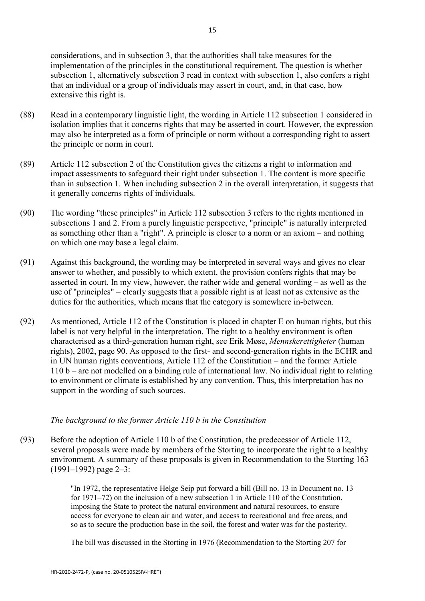- (88) Read in a contemporary linguistic light, the wording in Article 112 subsection 1 considered in isolation implies that it concerns rights that may be asserted in court. However, the expression may also be interpreted as a form of principle or norm without a corresponding right to assert the principle or norm in court.
- (89) Article 112 subsection 2 of the Constitution gives the citizens a right to information and impact assessments to safeguard their right under subsection 1. The content is more specific than in subsection 1. When including subsection 2 in the overall interpretation, it suggests that it generally concerns rights of individuals.
- (90) The wording "these principles" in Article 112 subsection 3 refers to the rights mentioned in subsections 1 and 2. From a purely linguistic perspective, "principle" is naturally interpreted as something other than a "right". A principle is closer to a norm or an axiom – and nothing on which one may base a legal claim.
- (91) Against this background, the wording may be interpreted in several ways and gives no clear answer to whether, and possibly to which extent, the provision confers rights that may be asserted in court. In my view, however, the rather wide and general wording – as well as the use of "principles" – clearly suggests that a possible right is at least not as extensive as the duties for the authorities, which means that the category is somewhere in-between.
- (92) As mentioned, Article 112 of the Constitution is placed in chapter E on human rights, but this label is not very helpful in the interpretation. The right to a healthy environment is often characterised as a third-generation human right, see Erik Møse, *Mennskerettigheter* (human rights), 2002, page 90. As opposed to the first- and second-generation rights in the ECHR and in UN human rights conventions, Article 112 of the Constitution – and the former Article 110 b – are not modelled on a binding rule of international law. No individual right to relating to environment or climate is established by any convention. Thus, this interpretation has no support in the wording of such sources.

## *The background to the former Article 110 b in the Constitution*

(93) Before the adoption of Article 110 b of the Constitution, the predecessor of Article 112, several proposals were made by members of the Storting to incorporate the right to a healthy environment. A summary of these proposals is given in Recommendation to the Storting 163 (1991–1992) page 2–3:

> "In 1972, the representative Helge Seip put forward a bill (Bill no. 13 in Document no. 13 for 1971–72) on the inclusion of a new subsection 1 in Article 110 of the Constitution, imposing the State to protect the natural environment and natural resources, to ensure access for everyone to clean air and water, and access to recreational and free areas, and so as to secure the production base in the soil, the forest and water was for the posterity.

The bill was discussed in the Storting in 1976 (Recommendation to the Storting 207 for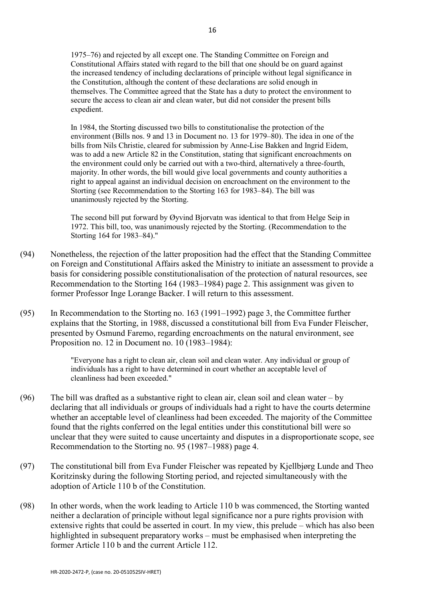1975–76) and rejected by all except one. The Standing Committee on Foreign and Constitutional Affairs stated with regard to the bill that one should be on guard against the increased tendency of including declarations of principle without legal significance in the Constitution, although the content of these declarations are solid enough in themselves. The Committee agreed that the State has a duty to protect the environment to secure the access to clean air and clean water, but did not consider the present bills expedient.

In 1984, the Storting discussed two bills to constitutionalise the protection of the environment (Bills nos. 9 and 13 in Document no. 13 for 1979–80). The idea in one of the bills from Nils Christie, cleared for submission by Anne-Lise Bakken and Ingrid Eidem, was to add a new Article 82 in the Constitution, stating that significant encroachments on the environment could only be carried out with a two-third, alternatively a three-fourth, majority. In other words, the bill would give local governments and county authorities a right to appeal against an individual decision on encroachment on the environment to the Storting (see Recommendation to the Storting 163 for 1983–84). The bill was unanimously rejected by the Storting.

The second bill put forward by Øyvind Bjorvatn was identical to that from Helge Seip in 1972. This bill, too, was unanimously rejected by the Storting. (Recommendation to the Storting 164 for 1983–84)."

- (94) Nonetheless, the rejection of the latter proposition had the effect that the Standing Committee on Foreign and Constitutional Affairs asked the Ministry to initiate an assessment to provide a basis for considering possible constitutionalisation of the protection of natural resources, see Recommendation to the Storting 164 (1983–1984) page 2. This assignment was given to former Professor Inge Lorange Backer. I will return to this assessment.
- (95) In Recommendation to the Storting no. 163 (1991–1992) page 3, the Committee further explains that the Storting, in 1988, discussed a constitutional bill from Eva Funder Fleischer, presented by Osmund Faremo, regarding encroachments on the natural environment, see Proposition no. 12 in Document no. 10 (1983–1984):

"Everyone has a right to clean air, clean soil and clean water. Any individual or group of individuals has a right to have determined in court whether an acceptable level of cleanliness had been exceeded."

- (96) The bill was drafted as a substantive right to clean air, clean soil and clean water by declaring that all individuals or groups of individuals had a right to have the courts determine whether an acceptable level of cleanliness had been exceeded. The majority of the Committee found that the rights conferred on the legal entities under this constitutional bill were so unclear that they were suited to cause uncertainty and disputes in a disproportionate scope, see Recommendation to the Storting no. 95 (1987–1988) page 4.
- (97) The constitutional bill from Eva Funder Fleischer was repeated by Kjellbjørg Lunde and Theo Koritzinsky during the following Storting period, and rejected simultaneously with the adoption of Article 110 b of the Constitution.
- (98) In other words, when the work leading to Article 110 b was commenced, the Storting wanted neither a declaration of principle without legal significance nor a pure rights provision with extensive rights that could be asserted in court. In my view, this prelude – which has also been highlighted in subsequent preparatory works – must be emphasised when interpreting the former Article 110 b and the current Article 112.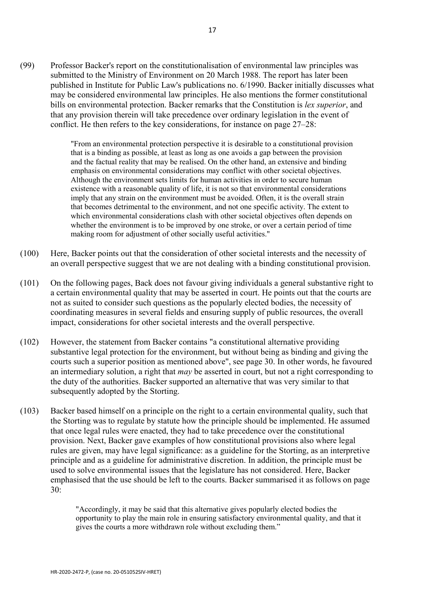(99) Professor Backer's report on the constitutionalisation of environmental law principles was submitted to the Ministry of Environment on 20 March 1988. The report has later been published in Institute for Public Law's publications no. 6/1990. Backer initially discusses what may be considered environmental law principles. He also mentions the former constitutional bills on environmental protection. Backer remarks that the Constitution is *lex superior*, and that any provision therein will take precedence over ordinary legislation in the event of conflict. He then refers to the key considerations, for instance on page 27–28:

> "From an environmental protection perspective it is desirable to a constitutional provision that is a binding as possible, at least as long as one avoids a gap between the provision and the factual reality that may be realised. On the other hand, an extensive and binding emphasis on environmental considerations may conflict with other societal objectives. Although the environment sets limits for human activities in order to secure human existence with a reasonable quality of life, it is not so that environmental considerations imply that any strain on the environment must be avoided. Often, it is the overall strain that becomes detrimental to the environment, and not one specific activity. The extent to which environmental considerations clash with other societal objectives often depends on whether the environment is to be improved by one stroke, or over a certain period of time making room for adjustment of other socially useful activities."

- (100) Here, Backer points out that the consideration of other societal interests and the necessity of an overall perspective suggest that we are not dealing with a binding constitutional provision.
- (101) On the following pages, Back does not favour giving individuals a general substantive right to a certain environmental quality that may be asserted in court. He points out that the courts are not as suited to consider such questions as the popularly elected bodies, the necessity of coordinating measures in several fields and ensuring supply of public resources, the overall impact, considerations for other societal interests and the overall perspective.
- (102) However, the statement from Backer contains "a constitutional alternative providing substantive legal protection for the environment, but without being as binding and giving the courts such a superior position as mentioned above", see page 30. In other words, he favoured an intermediary solution, a right that *may* be asserted in court, but not a right corresponding to the duty of the authorities. Backer supported an alternative that was very similar to that subsequently adopted by the Storting.
- (103) Backer based himself on a principle on the right to a certain environmental quality, such that the Storting was to regulate by statute how the principle should be implemented. He assumed that once legal rules were enacted, they had to take precedence over the constitutional provision. Next, Backer gave examples of how constitutional provisions also where legal rules are given, may have legal significance: as a guideline for the Storting, as an interpretive principle and as a guideline for administrative discretion. In addition, the principle must be used to solve environmental issues that the legislature has not considered. Here, Backer emphasised that the use should be left to the courts. Backer summarised it as follows on page 30:

"Accordingly, it may be said that this alternative gives popularly elected bodies the opportunity to play the main role in ensuring satisfactory environmental quality, and that it gives the courts a more withdrawn role without excluding them."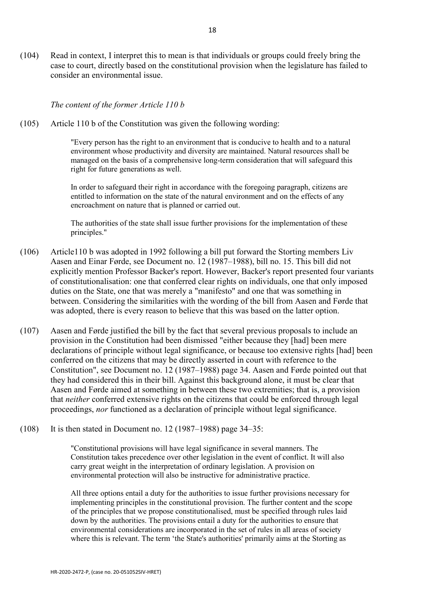(104) Read in context, I interpret this to mean is that individuals or groups could freely bring the case to court, directly based on the constitutional provision when the legislature has failed to consider an environmental issue.

*The content of the former Article 110 b* 

(105) Article 110 b of the Constitution was given the following wording:

"Every person has the right to an environment that is conducive to health and to a natural environment whose productivity and diversity are maintained. Natural resources shall be managed on the basis of a comprehensive long-term consideration that will safeguard this right for future generations as well.

In order to safeguard their right in accordance with the foregoing paragraph, citizens are entitled to information on the state of the natural environment and on the effects of any encroachment on nature that is planned or carried out.

The authorities of the state shall issue further provisions for the implementation of these principles."

- (106) Article110 b was adopted in 1992 following a bill put forward the Storting members Liv Aasen and Einar Førde, see Document no. 12 (1987–1988), bill no. 15. This bill did not explicitly mention Professor Backer's report. However, Backer's report presented four variants of constitutionalisation: one that conferred clear rights on individuals, one that only imposed duties on the State, one that was merely a "manifesto" and one that was something in between. Considering the similarities with the wording of the bill from Aasen and Førde that was adopted, there is every reason to believe that this was based on the latter option.
- (107) Aasen and Førde justified the bill by the fact that several previous proposals to include an provision in the Constitution had been dismissed "either because they [had] been mere declarations of principle without legal significance, or because too extensive rights [had] been conferred on the citizens that may be directly asserted in court with reference to [the](https://lovdata.no/pro#reference/lov/1814-05-17)  [Constitution"](https://lovdata.no/pro#reference/lov/1814-05-17), see [Document no. 12 \(1987–1988\)](https://lovdata.no/pro#reference/forarbeid/dok12-198788) page 34. Aasen and Førde pointed out that they had considered this in their bill. Against this background alone, it must be clear that Aasen and Førde aimed at something in between these two extremities; that is, a provision that *neither* conferred extensive rights on the citizens that could be enforced through legal proceedings, *nor* functioned as a declaration of principle without legal significance.
- (108) It is then stated in [Document no. 12 \(1987–1988\)](https://lovdata.no/pro#reference/forarbeid/dok12-198788) page 34–35:

"Constitutional provisions will have legal significance in several manners[. The](https://lovdata.no/pro#reference/lov/1814-05-17)  [Constitution](https://lovdata.no/pro#reference/lov/1814-05-17) takes precedence over other legislation in the event of conflict. It will also carry great weight in the interpretation of ordinary legislation. A provision on environmental protection will also be instructive for administrative practice.

All three options entail a duty for the authorities to issue further provisions necessary for implementing principles in the constitutional provision. The further content and the scope of the principles that we propose constitutionalised, must be specified through rules laid down by the authorities. The provisions entail a duty for the authorities to ensure that environmental considerations are incorporated in the set of rules in all areas of society where this is relevant. The term 'the State's authorities' primarily aims at the Storting as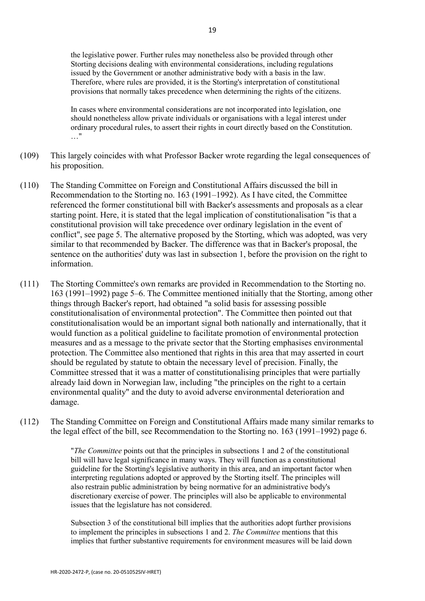the legislative power. Further rules may nonetheless also be provided through other Storting decisions dealing with environmental considerations, including regulations issued by the Government or another administrative body with a basis in the law. Therefore, where rules are provided, it is the Storting's interpretation of constitutional provisions that normally takes precedence when determining the rights of the citizens.

In cases where environmental considerations are not incorporated into legislation, one should nonetheless allow private individuals or organisations with a legal interest under ordinary procedural rules, to assert their rights in court directly based on [the Constitution.](https://lovdata.no/pro#reference/lov/1814-05-17) …"

- (109) This largely coincides with what Professor Backer wrote regarding the legal consequences of his proposition.
- (110) The Standing Committee on Foreign and Constitutional Affairs discussed the bill in [Recommendation to the Storting no. 163 \(1991–1992\).](https://lovdata.no/pro#reference/forarbeid/inns-s-163-199192/s6) As I have cited, the Committee referenced the former constitutional bill with Backer's assessments and proposals as a clear starting point. Here, it is stated that the legal implication of constitutionalisation "is that a constitutional provision will take precedence over ordinary legislation in the event of conflict", see page 5. The alternative proposed by the Storting, which was adopted, was very similar to that recommended by Backer. The difference was that in Backer's proposal, the sentence on the authorities' duty was last in subsection 1, before the provision on the right to information.
- (111) The Storting Committee's own remarks are provided in Recommendation to the Storting no. 163 (1991–1992) page 5–6. The Committee mentioned initially that the Storting, among other things through Backer's report, had obtained "a solid basis for assessing possible constitutionalisation of environmental protection". The Committee then pointed out that constitutionalisation would be an important signal both nationally and internationally, that it would function as a political guideline to facilitate promotion of environmental protection measures and as a message to the private sector that the Storting emphasises environmental protection. The Committee also mentioned that rights in this area that may asserted in court should be regulated by statute to obtain the necessary level of precision. Finally, the Committee stressed that it was a matter of constitutionalising principles that were partially already laid down in Norwegian law, including "the principles on the right to a certain environmental quality" and the duty to avoid adverse environmental deterioration and damage.
- (112) The Standing Committee on Foreign and Constitutional Affairs made many similar remarks to the legal effect of the bill, see Recommendation to the Storting no. 163 (1991–1992) page 6.

"*The Committee* points out that the principles in subsections 1 and 2 of the constitutional bill will have legal significance in many ways. They will function as a constitutional guideline for the Storting's legislative authority in this area, and an important factor when interpreting regulations adopted or approved by the Storting itself. The principles will also restrain public administration by being normative for an administrative body's discretionary exercise of power. The principles will also be applicable to environmental issues that the legislature has not considered.

Subsection 3 of the constitutional bill implies that the authorities adopt further provisions to implement the principles in subsections 1 and 2. *The Committee* mentions that this implies that further substantive requirements for environment measures will be laid down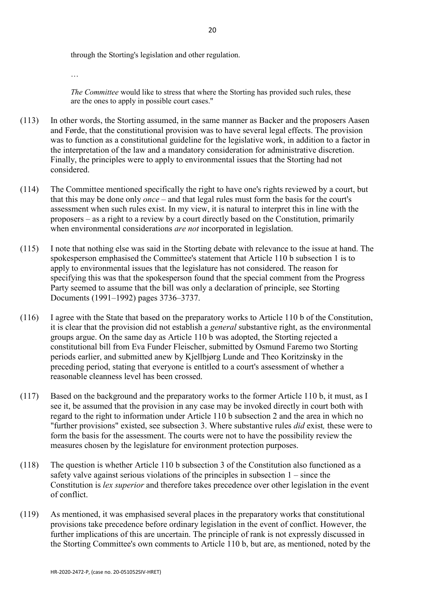through the Storting's legislation and other regulation.

…

*The Committee* would like to stress that where the Storting has provided such rules, these are the ones to apply in possible court cases."

- (113) In other words, the Storting assumed, in the same manner as Backer and the proposers Aasen and Førde, that the constitutional provision was to have several legal effects. The provision was to function as a constitutional guideline for the legislative work, in addition to a factor in the interpretation of the law and a mandatory consideration for administrative discretion. Finally, the principles were to apply to environmental issues that the Storting had not considered.
- (114) The Committee mentioned specifically the right to have one's rights reviewed by a court, but that this may be done only *once* – and that legal rules must form the basis for the court's assessment when such rules exist. In my view, it is natural to interpret this in line with the proposers – as a right to a review by a court directly based on the Constitution, primarily when environmental considerations *are not* incorporated in legislation.
- (115) I note that nothing else was said in the Storting debate with relevance to the issue at hand. The spokesperson emphasised the Committee's statement that Article 110 b subsection 1 is to apply to environmental issues that the legislature has not considered. The reason for specifying this was that the spokesperson found that the special comment from the Progress Party seemed to assume that the bill was only a declaration of principle, see Storting Documents (1991–1992) pages 3736–3737.
- (116) I agree with the State that based on the preparatory works to Article 110 b of the Constitution, it is clear that the provision did not establish a *general* substantive right, as the environmental groups argue. On the same day as Article 110 b was adopted, the Storting rejected a constitutional bill from Eva Funder Fleischer, submitted by Osmund Faremo two Storting periods earlier, and submitted anew by Kjellbjørg Lunde and Theo Koritzinsky in the preceding period, stating that everyone is entitled to a court's assessment of whether a reasonable cleanness level has been crossed.
- (117) Based on the background and the preparatory works to the former [Article 110 b,](https://lovdata.no/pro#reference/lov/1814-05-17/%C2%A7110b) it must, as I see it, be assumed that the provision in any case may be invoked directly in court both with regard to the right to information under Article 110 b subsection 2 and the area in which no "further provisions" existed, see subsection 3. Where substantive rules *did* exist*,* these were to form the basis for the assessment. The courts were not to have the possibility review the measures chosen by the legislature for environment protection purposes.
- (118) The question is whether Article 110 b subsection 3 of the Constitution also functioned as a safety valve against serious violations of the principles in subsection 1 – since the Constitution is *lex superior* and therefore takes precedence over other legislation in the event of conflict.
- (119) As mentioned, it was emphasised several places in the preparatory works that constitutional provisions take precedence before ordinary legislation in the event of conflict. However, the further implications of this are uncertain. The principle of rank is not expressly discussed in the Storting Committee's own comments to Article 110 b, but are, as mentioned, noted by the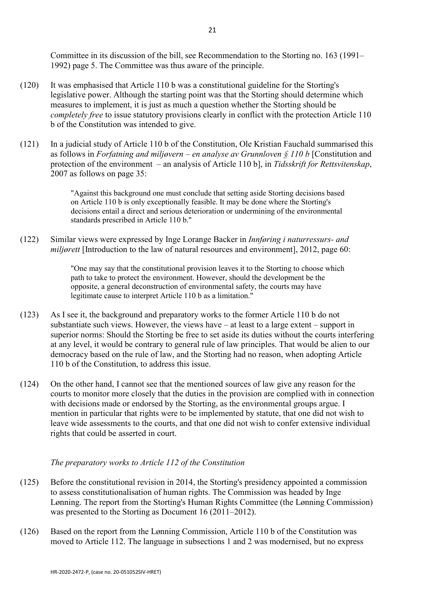Committee in its discussion of the bill, see Recommendation to the Storting no. 163 (1991– 1992) page 5. The Committee was thus aware of the principle.

- (120) It was emphasised that Article 110 b was a constitutional guideline for the Storting's legislative power. Although the starting point was that the Storting should determine which measures to implement, it is just as much a question whether the Storting should be *completely free* to issue statutory provisions clearly in conflict with the protection Article 110 b of the Constitution was intended to give.
- (121) In a judicial study of Article 110 b of the Constitution, Ole Kristian Fauchald summarised this as follows in *Forfatning and miljøvern – en analyse av Grunnloven § 110 b* [Constitution and protection of the environment – an analysis of Article 110 b], in *Tidsskrift for Rettsvitenskap*, 2007 as follows on page 35:

"Against this background one must conclude that setting aside Storting decisions based on Article 110 b is only exceptionally feasible. It may be done where the Storting's decisions entail a direct and serious deterioration or undermining of the environmental standards prescribed in Article 110 b."

(122) Similar views were expressed by Inge Lorange Backer in *Innføring i naturressurs- and miljørett* [Introduction to the law of natural resources and environment], 2012, page 60:

> "One may say that the constitutional provision leaves it to the Storting to choose which path to take to protect the environment. However, should the development be the opposite, a general deconstruction of environmental safety, the courts may have legitimate cause to interpret Article 110 b as a limitation."

- (123) As I see it, the background and preparatory works to the former Article 110 b do not substantiate such views. However, the views have – at least to a large extent – support in superior norms: Should the Storting be free to set aside its duties without the courts interfering at any level, it would be contrary to general rule of law principles. That would be alien to our democracy based on the rule of law, and the Storting had no reason, when adopting Article 110 b of the Constitution, to address this issue.
- (124) On the other hand, I cannot see that the mentioned sources of law give any reason for the courts to monitor more closely that the duties in the provision are complied with in connection with decisions made or endorsed by the Storting, as the environmental groups argue. I mention in particular that rights were to be implemented by statute, that one did not wish to leave wide assessments to the courts, and that one did not wish to confer extensive individual rights that could be asserted in court.

## *The preparatory works to Article 112 of the Constitution*

- (125) Before the constitutional revision in 2014, the Storting's presidency appointed a commission to assess constitutionalisation of human rights. The Commission was headed by Inge Lønning. The report from the Storting's Human Rights Committee (the Lønning Commission) was presented to the Storting as [Document 16 \(2011–2012\).](https://lovdata.no/pro#reference/forarbeid/dok16-2-111213)
- (126) Based on the report from the Lønning Commission, Article 110 b of the Constitution was moved to Article 112. The language in subsections 1 and 2 was modernised, but no express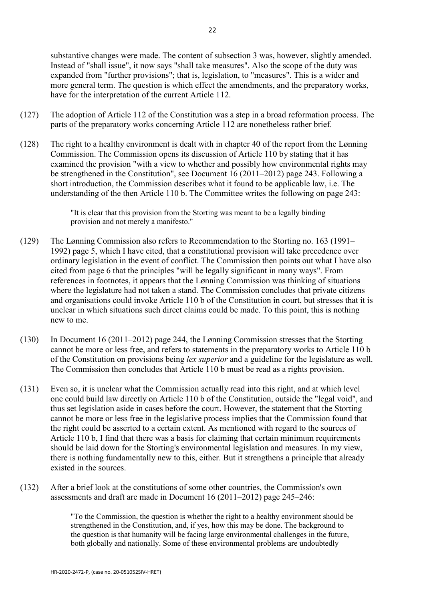substantive changes were made. The content of subsection 3 was, however, slightly amended. Instead of "shall issue", it now says "shall take measures". Also the scope of the duty was expanded from "further provisions"; that is, legislation, to "measures". This is a wider and more general term. The question is which effect the amendments, and the preparatory works, have for the interpretation of the current Article 112.

- (127) The adoption of Article 112 of the Constitution was a step in a broad reformation process. The parts of the preparatory works concerning Article 112 are nonetheless rather brief.
- (128) The right to a healthy environment is dealt with in chapter 40 of the report from the Lønning Commission. The Commission opens its discussion of Article 110 by stating that it has examined the provision "with a view to whether and possibly how environmental rights may be strengthened in the Constitution", see [Document 16 \(2011–2012\)](https://lovdata.no/pro#reference/forarbeid/dok16-2-111213) page 243. Following a short introduction, the Commission describes what it found to be applicable law, i.e. The understanding of the then Article 110 b. The Committee writes the following on page 243:

"It is clear that this provision from the Storting was meant to be a legally binding provision and not merely a manifesto."

- (129) The Lønning Commission also refers to Recommendation to the Storting no. 163 (1991– 1992) page 5, which I have cited, that a constitutional provision will take precedence over ordinary legislation in the event of conflict. The Commission then points out what I have also cited from [page](https://lovdata.no/pro#reference/forarbeid/inns-s-163-199192/s6) 6 that the principles "will be legally significant in many ways". From references in footnotes, it appears that the Lønning Commission was thinking of situations where the legislature had not taken a stand. The Commission concludes that private citizens and organisations could invoke Article 110 b of the Constitution in court, but stresses that it is unclear in which situations such direct claims could be made. To this point, this is nothing new to me.
- (130) In Document 16 (2011–2012) page 244, the Lønning Commission stresses that the Storting cannot be more or less free, and refers to statements in the preparatory works to Article 110 b of the Constitution on provisions being *lex superior* and a guideline for the legislature as well. The Commission then concludes that Article 110 b must be read as a rights provision.
- (131) Even so, it is unclear what the Commission actually read into this right, and at which level one could build law directly on Article 110 b of the Constitution, outside the "legal void", and thus set legislation aside in cases before the court. However, the statement that the Storting cannot be more or less free in the legislative process implies that the Commission found that the right could be asserted to a certain extent. As mentioned with regard to the sources of Article 110 b, I find that there was a basis for claiming that certain minimum requirements should be laid down for the Storting's environmental legislation and measures. In my view, there is nothing fundamentally new to this, either. But it strengthens a principle that already existed in the sources.
- (132) After a brief look at the constitutions of some other countries, the Commission's own assessments and draft are made in Document 16 (2011–2012) page 245–246:

"To the Commission, the question is whether the right to a healthy environment should be strengthened in the Constitution, and, if yes, how this may be done. The background to the question is that humanity will be facing large environmental challenges in the future, both globally and nationally. Some of these environmental problems are undoubtedly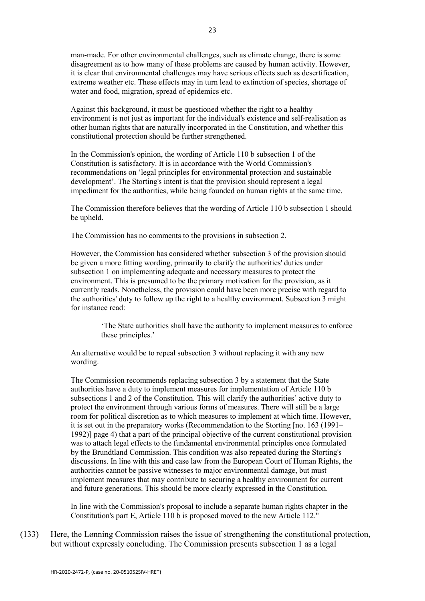man-made. For other environmental challenges, such as climate change, there is some disagreement as to how many of these problems are caused by human activity. However, it is clear that environmental challenges may have serious effects such as desertification, extreme weather etc. These effects may in turn lead to extinction of species, shortage of water and food, migration, spread of epidemics etc.

Against this background, it must be questioned whether the right to a healthy environment is not just as important for the individual's existence and self-realisation as other human rights that are naturally incorporated in the Constitution, and whether this constitutional protection should be further strengthened.

In the Commission's opinion, the wording of Article 110 b subsection 1 of the Constitution is satisfactory. It is in accordance with the World Commission's recommendations on 'legal principles for environmental protection and sustainable development'. The Storting's intent is that the provision should represent a legal impediment for the authorities, while being founded on human rights at the same time.

The Commission therefore believes that the wording of Article 110 b subsection 1 should be upheld.

The Commission has no comments to the provisions in subsection 2.

However, the Commission has considered whether subsection 3 of the provision should be given a more fitting wording, primarily to clarify the authorities' duties under subsection 1 on implementing adequate and necessary measures to protect the environment. This is presumed to be the primary motivation for the provision, as it currently reads. Nonetheless, the provision could have been more precise with regard to the authorities' duty to follow up the right to a healthy environment. Subsection 3 might for instance read:

> 'The State authorities shall have the authority to implement measures to enforce these principles.'

An alternative would be to repeal subsection 3 without replacing it with any new wording.

The Commission recommends replacing subsection 3 by a statement that the State authorities have a duty to implement measures for implementation of Article 110 b subsections 1 and 2 of the Constitution. This will clarify the authorities' active duty to protect the environment through various forms of measures. There will still be a large room for political discretion as to which measures to implement at which time. However, it is set out in the preparatory works (Recommendation to the Storting [no. 163 (1991– 1992)] page 4) that a part of the principal objective of the current constitutional provision was to attach legal effects to the fundamental environmental principles once formulated by the Brundtland Commission. This condition was also repeated during the Storting's discussions. In line with this and case law from the European Court of Human Rights, the authorities cannot be passive witnesses to major environmental damage, but must implement measures that may contribute to securing a healthy environment for current and future generations. This should be more clearly expressed in the Constitution.

In line with the Commission's proposal to include a separate human rights chapter in the Constitution's part E, Article 110 b is proposed moved to the new Article 112."

(133) Here, the Lønning Commission raises the issue of strengthening the constitutional protection, but without expressly concluding. The Commission presents subsection 1 as a legal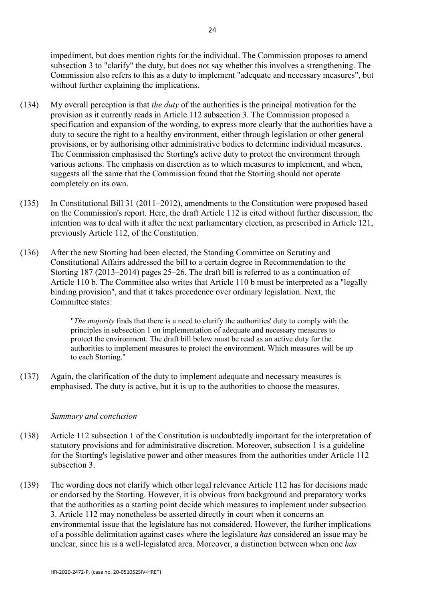impediment, but does mention rights for the individual. The Commission proposes to amend subsection 3 to "clarify" the duty, but does not say whether this involves a strengthening. The Commission also refers to this as a duty to implement "adequate and necessary measures", but without further explaining the implications.

- (134) My overall perception is that *the duty* of the authorities is the principal motivation for the provision as it currently reads in Article 112 subsection 3. The Commission proposed a specification and expansion of the wording, to express more clearly that the authorities have a duty to secure the right to a healthy environment, either through legislation or other general provisions, or by authorising other administrative bodies to determine individual measures. The Commission emphasised the Storting's active duty to protect the environment through various actions. The emphasis on discretion as to which measures to implement, and when, suggests all the same that the Commission found that the Storting should not operate completely on its own.
- (135) In Constitutional Bill 31 (2011–2012), amendments to the Constitution were proposed based on the Commission's report. Here, the draft Article 112 is cited without further discussion; the intention was to deal with it after the next parliamentary election, as prescribed in Article 121, previously Article 112, of the Constitution.
- (136) After the new Storting had been elected, the Standing Committee on Scrutiny and Constitutional Affairs addressed the bill to a certain degree in Recommendation to the Storting 187 (2013–2014) pages 25–26. The draft bill is referred to as a continuation of Article 110 b. The Committee also writes that Article 110 b must be interpreted as a "legally binding provision", and that it takes precedence over ordinary legislation. Next, the Committee states:

"*The majority* finds that there is a need to clarify the authorities' duty to comply with the principles in subsection 1 on implementation of adequate and necessary measures to protect the environment. The draft bill below must be read as an active duty for the authorities to implement measures to protect the environment. Which measures will be up to each Storting."

(137) Again, the clarification of the duty to implement adequate and necessary measures is emphasised. The duty is active, but it is up to the authorities to choose the measures.

#### *Summary and conclusion*

- (138) Article 112 subsection 1 of the Constitution is undoubtedly important for the interpretation of statutory provisions and for administrative discretion. Moreover, subsection 1 is a guideline for the Storting's legislative power and other measures from the authorities under Article 112 subsection 3.
- (139) The wording does not clarify which other legal relevance Article 112 has for decisions made or endorsed by the Storting. However, it is obvious from background and preparatory works that the authorities as a starting point decide which measures to implement under subsection 3. Article 112 may nonetheless be asserted directly in court when it concerns an environmental issue that the legislature has not considered. However, the further implications of a possible delimitation against cases where the legislature *has* considered an issue may be unclear, since his is a well-legislated area. Moreover, a distinction between when one *has*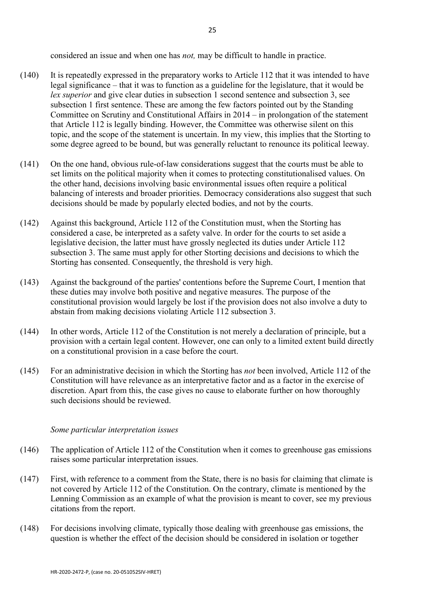considered an issue and when one has *not,* may be difficult to handle in practice.

- (140) It is repeatedly expressed in the preparatory works to Article 112 that it was intended to have legal significance – that it was to function as a guideline for the legislature, that it would be *lex superior* and give clear duties in subsection 1 second sentence and subsection 3, see subsection 1 first sentence. These are among the few factors pointed out by the Standing Committee on Scrutiny and Constitutional Affairs in 2014 – in prolongation of the statement that Article 112 is legally binding. However, the Committee was otherwise silent on this topic, and the scope of the statement is uncertain. In my view, this implies that the Storting to some degree agreed to be bound, but was generally reluctant to renounce its political leeway.
- (141) On the one hand, obvious rule-of-law considerations suggest that the courts must be able to set limits on the political majority when it comes to protecting constitutionalised values. On the other hand, decisions involving basic environmental issues often require a political balancing of interests and broader priorities. Democracy considerations also suggest that such decisions should be made by popularly elected bodies, and not by the courts.
- (142) Against this background, Article 112 of the Constitution must, when the Storting has considered a case, be interpreted as a safety valve. In order for the courts to set aside a legislative decision, the latter must have grossly neglected its duties under Article 112 subsection 3. The same must apply for other Storting decisions and decisions to which the Storting has consented. Consequently, the threshold is very high.
- (143) Against the background of the parties' contentions before the Supreme Court, I mention that these duties may involve both positive and negative measures. The purpose of the constitutional provision would largely be lost if the provision does not also involve a duty to abstain from making decisions violating Article 112 subsection 3.
- (144) In other words, Article 112 of the Constitution is not merely a declaration of principle, but a provision with a certain legal content. However, one can only to a limited extent build directly on a constitutional provision in a case before the court.
- (145) For an administrative decision in which the Storting has *not* been involved, Article 112 of the Constitution will have relevance as an interpretative factor and as a factor in the exercise of discretion. Apart from this, the case gives no cause to elaborate further on how thoroughly such decisions should be reviewed.

#### *Some particular interpretation issues*

- (146) The application of Article 112 of the Constitution when it comes to greenhouse gas emissions raises some particular interpretation issues.
- (147) First, with reference to a comment from the State, there is no basis for claiming that climate is not covered by Article 112 of the Constitution. On the contrary, climate is mentioned by the Lønning Commission as an example of what the provision is meant to cover, see my previous citations from the report.
- (148) For decisions involving climate, typically those dealing with greenhouse gas emissions, the question is whether the effect of the decision should be considered in isolation or together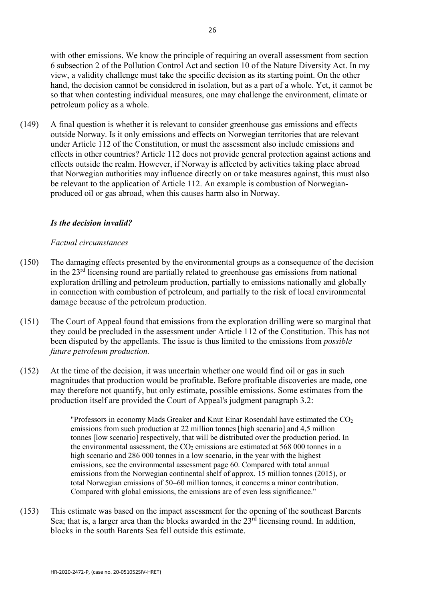with other emissions. We know the principle of requiring an overall assessment from section 6 subsection 2 of the Pollution Control Act and section 10 of the Nature Diversity Act. In my view, a validity challenge must take the specific decision as its starting point. On the other hand, the decision cannot be considered in isolation, but as a part of a whole. Yet, it cannot be so that when contesting individual measures, one may challenge the environment, climate or petroleum policy as a whole.

(149) A final question is whether it is relevant to consider greenhouse gas emissions and effects outside Norway. Is it only emissions and effects on Norwegian territories that are relevant under Article 112 of the Constitution, or must the assessment also include emissions and effects in other countries? Article 112 does not provide general protection against actions and effects outside the realm. However, if Norway is affected by activities taking place abroad that Norwegian authorities may influence directly on or take measures against, this must also be relevant to the application of Article 112. An example is combustion of Norwegianproduced oil or gas abroad, when this causes harm also in Norway.

# *Is the decision invalid?*

## *Factual circumstances*

- (150) The damaging effects presented by the environmental groups as a consequence of the decision in the  $23<sup>rd</sup>$  licensing round are partially related to greenhouse gas emissions from national exploration drilling and petroleum production, partially to emissions nationally and globally in connection with combustion of petroleum, and partially to the risk of local environmental damage because of the petroleum production.
- (151) The Court of Appeal found that emissions from the exploration drilling were so marginal that they could be precluded in the assessment under Article 112 of the Constitution. This has not been disputed by the appellants. The issue is thus limited to the emissions from *possible future petroleum production.*
- (152) At the time of the decision, it was uncertain whether one would find oil or gas in such magnitudes that production would be profitable. Before profitable discoveries are made, one may therefore not quantify, but only estimate, possible emissions. Some estimates from the production itself are provided the Court of Appeal's judgment paragraph 3.2:

"Professors in economy Mads Greaker and Knut Einar Rosendahl have estimated the  $CO<sub>2</sub>$ emissions from such production at 22 million tonnes [high scenario] and 4,5 million tonnes [low scenario] respectively, that will be distributed over the production period. In the environmental assessment, the  $CO<sub>2</sub>$  emissions are estimated at 568 000 tonnes in a high scenario and 286 000 tonnes in a low scenario, in the year with the highest emissions, see the environmental assessment page 60. Compared with total annual emissions from the Norwegian continental shelf of approx. 15 million tonnes (2015), or total Norwegian emissions of 50–60 million tonnes, it concerns a minor contribution. Compared with global emissions, the emissions are of even less significance."

(153) This estimate was based on the impact assessment for the opening of the southeast Barents Sea; that is, a larger area than the blocks awarded in the  $23<sup>rd</sup>$  licensing round. In addition, blocks in the south Barents Sea fell outside this estimate.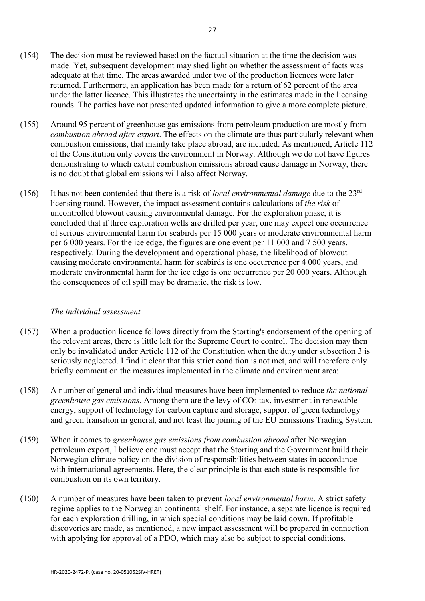- (154) The decision must be reviewed based on the factual situation at the time the decision was made. Yet, subsequent development may shed light on whether the assessment of facts was adequate at that time. The areas awarded under two of the production licences were later returned. Furthermore, an application has been made for a return of 62 percent of the area under the latter licence. This illustrates the uncertainty in the estimates made in the licensing rounds. The parties have not presented updated information to give a more complete picture.
- (155) Around 95 percent of greenhouse gas emissions from petroleum production are mostly from *combustion abroad after export*. The effects on the climate are thus particularly relevant when combustion emissions, that mainly take place abroad, are included. As mentioned, Article 112 of the Constitution only covers the environment in Norway. Although we do not have figures demonstrating to which extent combustion emissions abroad cause damage in Norway, there is no doubt that global emissions will also affect Norway.
- (156) It has not been contended that there is a risk of *local environmental damage* due to the 23rd licensing round. However, the impact assessment contains calculations of *the risk* of uncontrolled blowout causing environmental damage. For the exploration phase, it is concluded that if three exploration wells are drilled per year, one may expect one occurrence of serious environmental harm for seabirds per 15 000 years or moderate environmental harm per 6 000 years. For the ice edge, the figures are one event per 11 000 and 7 500 years, respectively. During the development and operational phase, the likelihood of blowout causing moderate environmental harm for seabirds is one occurrence per 4 000 years, and moderate environmental harm for the ice edge is one occurrence per 20 000 years. Although the consequences of oil spill may be dramatic, the risk is low.

## *The individual assessment*

- (157) When a production licence follows directly from the Storting's endorsement of the opening of the relevant areas, there is little left for the Supreme Court to control. The decision may then only be invalidated under Article 112 of the Constitution when the duty under subsection 3 is seriously neglected. I find it clear that this strict condition is not met, and will therefore only briefly comment on the measures implemented in the climate and environment area:
- (158) A number of general and individual measures have been implemented to reduce *the national greenhouse gas emissions*. Among them are the levy of CO<sub>2</sub> tax, investment in renewable energy, support of technology for carbon capture and storage, support of green technology and green transition in general, and not least the joining of the EU Emissions Trading System.
- (159) When it comes to *greenhouse gas emissions from combustion abroad* after Norwegian petroleum export, I believe one must accept that the Storting and the Government build their Norwegian climate policy on the division of responsibilities between states in accordance with international agreements. Here, the clear principle is that each state is responsible for combustion on its own territory.
- (160) A number of measures have been taken to prevent *local environmental harm*. A strict safety regime applies to the Norwegian continental shelf. For instance, a separate licence is required for each exploration drilling, in which special conditions may be laid down. If profitable discoveries are made, as mentioned, a new impact assessment will be prepared in connection with applying for approval of a PDO, which may also be subject to special conditions.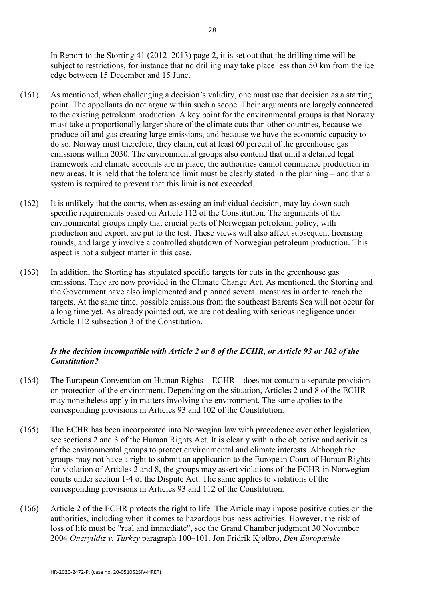In Report to the Storting 41 (2012–2013) page 2, it is set out that the drilling time will be subject to restrictions, for instance that no drilling may take place less than 50 km from the ice edge between 15 December and 15 June.

- (161) As mentioned, when challenging a decision's validity, one must use that decision as a starting point. The appellants do not argue within such a scope. Their arguments are largely connected to the existing petroleum production. A key point for the environmental groups is that Norway must take a proportionally larger share of the climate cuts than other countries, because we produce oil and gas creating large emissions, and because we have the economic capacity to do so. Norway must therefore, they claim, cut at least 60 percent of the greenhouse gas emissions within 2030. The environmental groups also contend that until a detailed legal framework and climate accounts are in place, the authorities cannot commence production in new areas. It is held that the tolerance limit must be clearly stated in the planning – and that a system is required to prevent that this limit is not exceeded.
- (162) It is unlikely that the courts, when assessing an individual decision, may lay down such specific requirements based on Article 112 of the Constitution. The arguments of the environmental groups imply that crucial parts of Norwegian petroleum policy, with production and export, are put to the test. These views will also affect subsequent licensing rounds, and largely involve a controlled shutdown of Norwegian petroleum production. This aspect is not a subject matter in this case.
- (163) In addition, the Storting has stipulated specific targets for cuts in the greenhouse gas emissions. They are now provided in the Climate Change Act. As mentioned, the Storting and the Government have also implemented and planned several measures in order to reach the targets. At the same time, possible emissions from the southeast Barents Sea will not occur for a long time yet. As already pointed out, we are not dealing with serious negligence under Article 112 subsection 3 of the Constitution.

# *Is the decision incompatible with Article 2 or 8 of the ECHR, or Article 93 or 102 of the Constitution?*

- (164) The European Convention on Human Rights ECHR does not contain a separate provision on protection of the environment. Depending on the situation, Articles 2 and 8 of the ECHR may nonetheless apply in matters involving the environment. The same applies to the corresponding provisions in Articles 93 and 102 of the Constitution.
- (165) The ECHR has been incorporated into Norwegian law with precedence over other legislation, see sections 2 and 3 of the Human Rights Act. It is clearly within the objective and activities of the environmental groups to protect environmental and climate interests. Although the groups may not have a right to submit an application to the European Court of Human Rights for violation of Articles 2 and 8, the groups may assert violations of the ECHR in Norwegian courts under section 1-4 of the Dispute Act. The same applies to violations of the corresponding provisions in Articles 93 and 112 of the Constitution.
- (166) Article 2 of the [ECHR p](https://lovdata.no/pro#reference/lov/1999-05-21-30/emkn/a2)rotects the right to life. The Article may impose positive duties on the authorities, including when it comes to hazardous business activities. However, the risk of loss of life must be "real and immediate", see the Grand Chamber judgment 30 November 2004 *Öneryıldız v. Turkey* paragraph 100–101. Jon Fridrik Kjølbro, *Den Europæiske*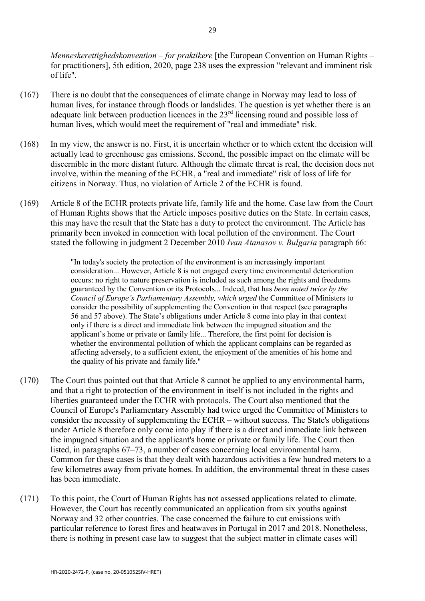*Menneskerettighedskonvention – for praktikere* [the European Convention on Human Rights – for practitioners], 5th edition, 2020, page 238 uses the expression "relevant and imminent risk of life".

- (167) There is no doubt that the consequences of climate change in Norway may lead to loss of human lives, for instance through floods or landslides. The question is yet whether there is an adequate link between production licences in the 23<sup>rd</sup> licensing round and possible loss of human lives, which would meet the requirement of "real and immediate" risk.
- (168) In my view, the answer is no. First, it is uncertain whether or to which extent the decision will actually lead to greenhouse gas emissions. Second, the possible impact on the climate will be discernible in the more distant future. Although the climate threat is real, the decision does not involve, within the meaning of the ECHR, a "real and immediate" risk of loss of life for citizens in Norway. Thus, no violation of Article 2 of the ECHR is found.
- (169) [Article 8](https://lovdata.no/pro#reference/lov/1999-05-21-30/emkn/a8) of the ECHR protects private life, family life and the home. Case law from the Court of Human Rights shows that the Article imposes positive duties on the State. In certain cases, this may have the result that the State has a duty to protect the environment. The Article has primarily been invoked in connection with local pollution of the environment. The Court stated the following in judgment 2 December 2010 *Ivan Atanasov v. Bulgaria* [paragraph](https://lovdata.no/pro#reference/avgjorelse/emd-1999-48939-1/a66) 66:

"In today's society the protection of the environment is an increasingly important consideration... However, Article 8 is not engaged every time environmental deterioration occurs: no right to nature preservation is included as such among the rights and freedoms guaranteed by the Convention or its Protocols... Indeed, that has *been noted twice by the Council of Europe's Parliamentary Assembly, which urged* the Committee of Ministers to consider the possibility of supplementing the Convention in that respect (see paragraphs 56 and 57 above). The State's obligations under Article 8 come into play in that context only if there is a direct and immediate link between the impugned situation and the applicant's home or private or family life... Therefore, the first point for decision is whether the environmental pollution of which the applicant complains can be regarded as affecting adversely, to a sufficient extent, the enjoyment of the amenities of his home and the quality of his private and family life."

- (170) The Court thus pointed out that that Article 8 cannot be applied to any environmental harm, and that a right to protection of the environment in itself is not included in the rights and liberties guaranteed under the ECHR with protocols. The Court also mentioned that the Council of Europe's Parliamentary Assembly had twice urged the Committee of Ministers to consider the necessity of supplementing the ECHR – without success. The State's obligations under Article 8 therefore only come into play if there is a direct and immediate link between the impugned situation and the applicant's home or private or family life. The Court then listed, in paragraphs 67–73, a number of cases concerning local environmental harm. Common for these cases is that they dealt with hazardous activities a few hundred meters to a few kilometres away from private homes. In addition, the environmental threat in these cases has been immediate.
- (171) To this point, the Court of Human Rights has not assessed applications related to climate. However, the Court has recently communicated an application from six youths against Norway and 32 other countries. The case concerned the failure to cut emissions with particular reference to forest fires and heatwaves in Portugal in 2017 and 2018. Nonetheless, there is nothing in present case law to suggest that the subject matter in climate cases will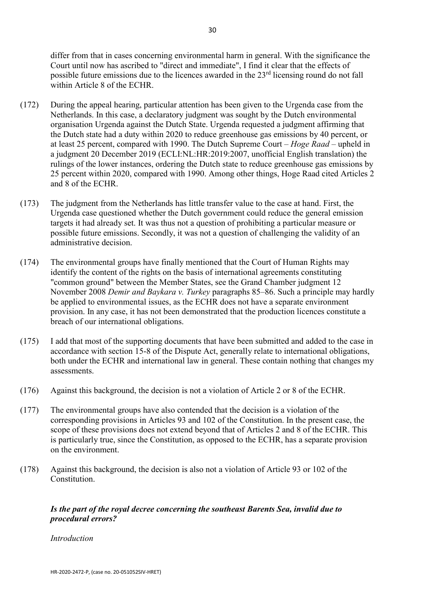differ from that in cases concerning environmental harm in general. With the significance the Court until now has ascribed to "direct and immediate", I find it clear that the effects of possible future emissions due to the licences awarded in the 23<sup>rd</sup> licensing round do not fall within Article 8 of the ECHR.

- (172) During the appeal hearing, particular attention has been given to the Urgenda case from the Netherlands. In this case, a declaratory judgment was sought by the Dutch environmental organisation Urgenda against the Dutch State. Urgenda requested a judgment affirming that the Dutch state had a duty within 2020 to reduce greenhouse gas emissions by 40 percent, or at least 25 percent, compared with 1990. The Dutch Supreme Court – *Hoge Raad* – upheld in a judgment 20 December 2019 (ECLI:NL:HR:2019:2007, unofficial English translation) the rulings of the lower instances, ordering the Dutch state to reduce greenhouse gas emissions by 25 percent within 2020, compared with 1990. Among other things, Hoge Raad cited Articles 2 and 8 of the ECHR.
- (173) The judgment from the Netherlands has little transfer value to the case at hand. First, the Urgenda case questioned whether the Dutch government could reduce the general emission targets it had already set. It was thus not a question of prohibiting a particular measure or possible future emissions. Secondly, it was not a question of challenging the validity of an administrative decision.
- (174) The environmental groups have finally mentioned that the Court of Human Rights may identify the content of the rights on the basis of international agreements constituting "common ground" between the Member States, see the Grand Chamber judgment 12 November 2008 *Demir and Baykara v. Turkey* [paragraphs 85–86.](https://lovdata.no/pro#reference/avgjorelse/emdn-2000-55723/a85) Such a principle may hardly be applied to environmental issues, as the ECHR does not have a separate environment provision. In any case, it has not been demonstrated that the production licences constitute a breach of our international obligations.
- (175) I add that most of the supporting documents that have been submitted and added to the case in accordance with section 15-8 of the Dispute Act, generally relate to international obligations, both under the ECHR and international law in general. These contain nothing that changes my assessments.
- (176) Against this background, the decision is not a violation of Article 2 or 8 of the ECHR.
- (177) The environmental groups have also contended that the decision is a violation of the corresponding provisions in Articles 93 and 102 of the Constitution. In the present case, the scope of these provisions does not extend beyond that of Articles 2 and 8 of the ECHR. This is particularly true, since the Constitution, as opposed to the ECHR, has a separate provision on the environment.
- (178) Against this background, the decision is also not a violation of Article 93 or 102 of the Constitution.

# *Is the part of the royal decree concerning the southeast Barents Sea, invalid due to procedural errors?*

*Introduction*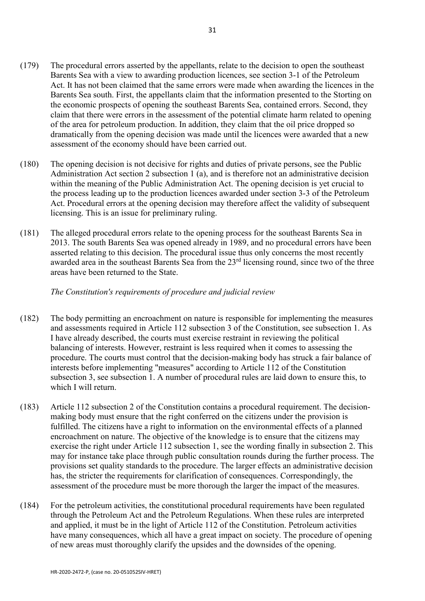- (179) The procedural errors asserted by the appellants, relate to the decision to open the southeast Barents Sea with a view to awarding production licences, see section 3-1 of the Petroleum Act. It has not been claimed that the same errors were made when awarding the licences in the Barents Sea south. First, the appellants claim that the information presented to the Storting on the economic prospects of opening the southeast Barents Sea, contained errors. Second, they claim that there were errors in the assessment of the potential climate harm related to opening of the area for petroleum production. In addition, they claim that the oil price dropped so dramatically from the opening decision was made until the licences were awarded that a new assessment of the economy should have been carried out.
- (180) The opening decision is not decisive for rights and duties of private persons, see the Public Administration Act section 2 subsection 1 (a), and is therefore not an administrative decision within the meaning of the Public Administration Act. The opening decision is yet crucial to the process leading up to the production licences awarded under section 3-3 of the Petroleum Act. Procedural errors at the opening decision may therefore affect the validity of subsequent licensing. This is an issue for preliminary ruling.
- (181) The alleged procedural errors relate to the opening process for the southeast Barents Sea in 2013. The south Barents Sea was opened already in 1989, and no procedural errors have been asserted relating to this decision. The procedural issue thus only concerns the most recently awarded area in the southeast Barents Sea from the 23<sup>rd</sup> licensing round, since two of the three areas have been returned to the State.

# *The Constitution's requirements of procedure and judicial review*

- (182) The body permitting an encroachment on nature is responsible for implementing the measures and assessments required in Article 112 subsection 3 of the Constitution, see subsection 1. As I have already described, the courts must exercise restraint in reviewing the political balancing of interests. However, restraint is less required when it comes to assessing the procedure. The courts must control that the decision-making body has struck a fair balance of interests before implementing "measures" according to Article 112 of the Constitution subsection 3, see subsection 1. A number of procedural rules are laid down to ensure this, to which I will return.
- (183) Article 112 subsection 2 of the Constitution contains a procedural requirement. The decisionmaking body must ensure that the right conferred on the citizens under the provision is fulfilled. The citizens have a right to information on the environmental effects of a planned encroachment on nature. The objective of the knowledge is to ensure that the citizens may exercise the right under Article 112 subsection 1, see the wording finally in subsection 2. This may for instance take place through public consultation rounds during the further process. The provisions set quality standards to the procedure. The larger effects an administrative decision has, the stricter the requirements for clarification of consequences. Correspondingly, the assessment of the procedure must be more thorough the larger the impact of the measures.
- (184) For the petroleum activities, the constitutional procedural requirements have been regulated through the Petroleum Act and the Petroleum Regulations. When these rules are interpreted and applied, it must be in the light of Article 112 of the Constitution. Petroleum activities have many consequences, which all have a great impact on society. The procedure of opening of new areas must thoroughly clarify the upsides and the downsides of the opening.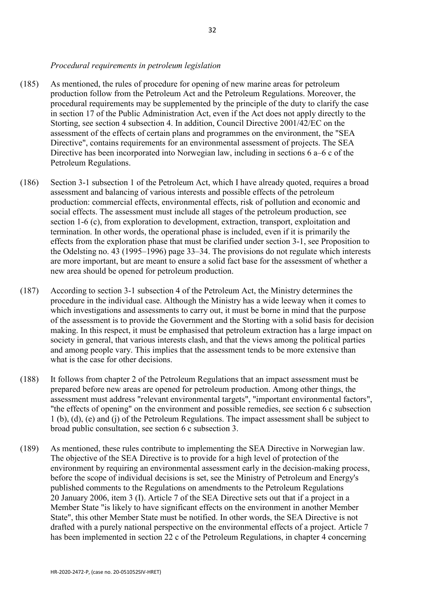#### *Procedural requirements in petroleum legislation*

- (185) As mentioned, the rules of procedure for opening of new marine areas for petroleum production follow from the Petroleum Act and the Petroleum Regulations. Moreover, the procedural requirements may be supplemented by the principle of the duty to clarify the case in section 17 of the Public Administration Act, even if the Act does not apply directly to the Storting, see section 4 subsection 4. In addition, Council Directive 2001/42/EC on the assessment of the effects of certain plans and programmes on the environment, the "SEA Directive", contains requirements for an environmental assessment of projects. The SEA Directive has been incorporated into Norwegian law, including in sections 6 a–6 c of the Petroleum Regulations.
- (186) Section 3-1 subsection 1 of the Petroleum Act, which I have already quoted, requires a broad assessment and balancing of various interests and possible effects of the petroleum production: commercial effects, environmental effects, risk of pollution and economic and social effects. The assessment must include all stages of the petroleum production, see section 1-6 (c), from exploration to development, extraction, transport, exploitation and termination. In other words, the operational phase is included, even if it is primarily the effects from the exploration phase that must be clarified under section 3-1, see Proposition to the Odelsting no. 43 (1995–1996) page 33–34. The provisions do not regulate which interests are more important, but are meant to ensure a solid fact base for the assessment of whether a new area should be opened for petroleum production.
- (187) According to section 3-1 subsection 4 of the Petroleum Act, the Ministry determines the procedure in the individual case. Although the Ministry has a wide leeway when it comes to which investigations and assessments to carry out, it must be borne in mind that the purpose of the assessment is to provide the Government and the Storting with a solid basis for decision making. In this respect, it must be emphasised that petroleum extraction has a large impact on society in general, that various interests clash, and that the views among the political parties and among people vary. This implies that the assessment tends to be more extensive than what is the case for other decisions.
- (188) It follows from chapter 2 of the Petroleum Regulations that an impact assessment must be prepared before new areas are opened for petroleum production. Among other things, the assessment must address "relevant environmental targets", "important environmental factors", "the effects of opening" on the environment and possible remedies, see section 6 c subsection 1 (b), (d), (e) and (j) of the Petroleum Regulations. The impact assessment shall be subject to broad public consultation, see section 6 c subsection 3.
- (189) As mentioned, these rules contribute to implementing the SEA Directive in Norwegian law. The objective of the SEA Directive is to provide for a high level of protection of the environment by requiring an environmental assessment early in the decision-making process, before the scope of individual decisions is set, see the Ministry of Petroleum and Energy's published comments to the Regulations on amendments to the Petroleum Regulations 20 January 2006, item 3 (I). Article 7 of the SEA Directive sets out that if a project in a Member State "is likely to have significant effects on the environment in another Member State", this other Member State must be notified. In other words, the SEA Directive is not drafted with a purely national perspective on the environmental effects of a project. Article 7 has been implemented in section 22 c of the Petroleum Regulations, in chapter 4 concerning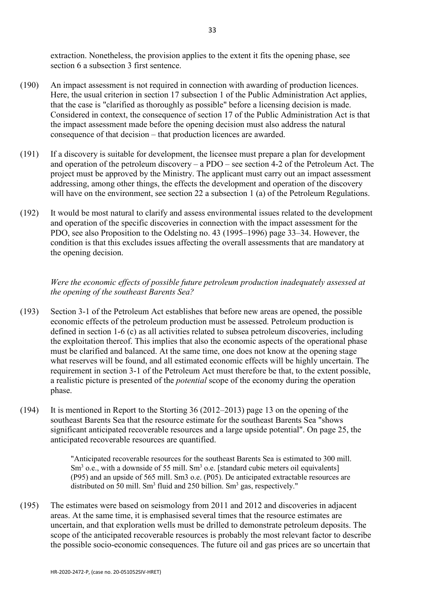extraction. Nonetheless, the provision applies to the extent it fits the opening phase, see section 6 a subsection 3 first sentence.

- (190) An impact assessment is not required in connection with awarding of production licences. Here, the usual criterion in section 17 subsection 1 of the Public Administration Act applies, that the case is "clarified as thoroughly as possible" before a licensing decision is made. Considered in context, the consequence of section 17 of the Public Administration Act is that the impact assessment made before the opening decision must also address the natural consequence of that decision – that production licences are awarded.
- (191) If a discovery is suitable for development, the licensee must prepare a plan for development and operation of the petroleum discovery – a PDO – see section 4-2 of the Petroleum Act. The project must be approved by the Ministry. The applicant must carry out an impact assessment addressing, among other things, the effects the development and operation of the discovery will have on the environment, see section 22 a subsection 1 (a) of the Petroleum Regulations.
- (192) It would be most natural to clarify and assess environmental issues related to the development and operation of the specific discoveries in connection with the impact assessment for the PDO, see also Proposition to the Odelsting no. 43 (1995–1996) page 33–34. However, the condition is that this excludes issues affecting the overall assessments that are mandatory at the opening decision.

# *Were the economic effects of possible future petroleum production inadequately assessed at the opening of the southeast Barents Sea?*

- (193) Section 3-1 of the Petroleum Act establishes that before new areas are opened, the possible economic effects of the petroleum production must be assessed. Petroleum production is defined in section 1-6 (c) as all activities related to subsea petroleum discoveries, including the exploitation thereof. This implies that also the economic aspects of the operational phase must be clarified and balanced. At the same time, one does not know at the opening stage what reserves will be found, and all estimated economic effects will be highly uncertain. The requirement in section 3-1 of the Petroleum Act must therefore be that, to the extent possible, a realistic picture is presented of the *potential* scope of the economy during the operation phase.
- (194) It is mentioned in Report to the Storting 36 (2012–2013) page 13 on the opening of the southeast Barents Sea that the resource estimate for the southeast Barents Sea "shows significant anticipated recoverable resources and a large upside potential". On page 25, the anticipated recoverable resources are quantified.

"Anticipated recoverable resources for the southeast Barents Sea is estimated to 300 mill.  $\text{Sm}^3$  o.e., with a downside of 55 mill.  $\text{Sm}^3$  o.e. [standard cubic meters oil equivalents] (P95) and an upside of 565 mill. Sm3 o.e. (P05). De anticipated extractable resources are distributed on 50 mill. Sm<sup>3</sup> fluid and 250 billion. Sm<sup>3</sup> gas, respectively."

(195) The estimates were based on seismology from 2011 and 2012 and discoveries in adjacent areas. At the same time, it is emphasised several times that the resource estimates are uncertain, and that exploration wells must be drilled to demonstrate petroleum deposits. The scope of the anticipated recoverable resources is probably the most relevant factor to describe the possible socio-economic consequences. The future oil and gas prices are so uncertain that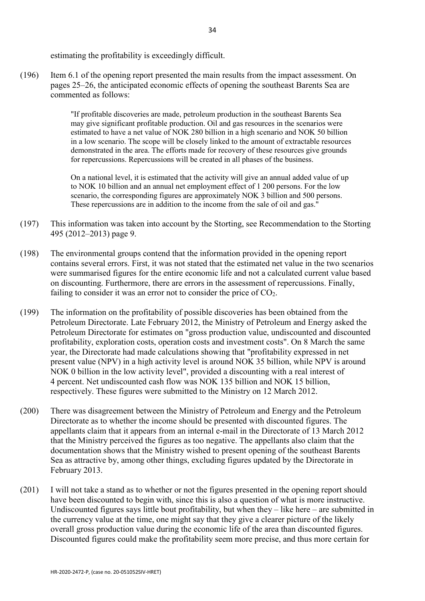estimating the profitability is exceedingly difficult.

(196) Item 6.1 of the opening report presented the main results from the impact assessment. On pages 25–26, the anticipated economic effects of opening the southeast Barents Sea are commented as follows:

> "If profitable discoveries are made, petroleum production in the southeast Barents Sea may give significant profitable production. Oil and gas resources in the scenarios were estimated to have a net value of NOK 280 billion in a high scenario and NOK 50 billion in a low scenario. The scope will be closely linked to the amount of extractable resources demonstrated in the area. The efforts made for recovery of these resources give grounds for repercussions. Repercussions will be created in all phases of the business.

> On a national level, it is estimated that the activity will give an annual added value of up to NOK 10 billion and an annual net employment effect of 1 200 persons. For the low scenario, the corresponding figures are approximately NOK 3 billion and 500 persons. These repercussions are in addition to the income from the sale of oil and gas."

- (197) This information was taken into account by the Storting, see Recommendation to the Storting 495 (2012–2013) page 9.
- (198) The environmental groups contend that the information provided in the opening report contains several errors. First, it was not stated that the estimated net value in the two scenarios were summarised figures for the entire economic life and not a calculated current value based on discounting. Furthermore, there are errors in the assessment of repercussions. Finally, failing to consider it was an error not to consider the price of CO<sub>2</sub>.
- (199) The information on the profitability of possible discoveries has been obtained from the Petroleum Directorate. Late February 2012, the Ministry of Petroleum and Energy asked the Petroleum Directorate for estimates on "gross production value, undiscounted and discounted profitability, exploration costs, operation costs and investment costs". On 8 March the same year, the Directorate had made calculations showing that "profitability expressed in net present value (NPV) in a high activity level is around NOK 35 billion, while NPV is around NOK 0 billion in the low activity level", provided a discounting with a real interest of 4 percent. Net undiscounted cash flow was NOK 135 billion and NOK 15 billion, respectively. These figures were submitted to the Ministry on 12 March 2012.
- (200) There was disagreement between the Ministry of Petroleum and Energy and the Petroleum Directorate as to whether the income should be presented with discounted figures. The appellants claim that it appears from an internal e-mail in the Directorate of 13 March 2012 that the Ministry perceived the figures as too negative. The appellants also claim that the documentation shows that the Ministry wished to present opening of the southeast Barents Sea as attractive by, among other things, excluding figures updated by the Directorate in February 2013.
- (201) I will not take a stand as to whether or not the figures presented in the opening report should have been discounted to begin with, since this is also a question of what is more instructive. Undiscounted figures says little bout profitability, but when they – like here – are submitted in the currency value at the time, one might say that they give a clearer picture of the likely overall gross production value during the economic life of the area than discounted figures. Discounted figures could make the profitability seem more precise, and thus more certain for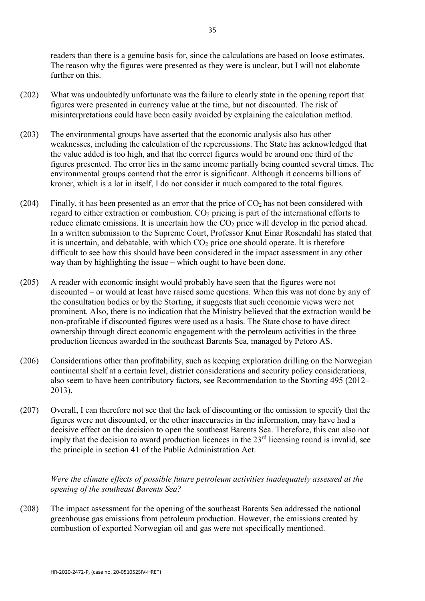readers than there is a genuine basis for, since the calculations are based on loose estimates. The reason why the figures were presented as they were is unclear, but I will not elaborate further on this.

- (202) What was undoubtedly unfortunate was the failure to clearly state in the opening report that figures were presented in currency value at the time, but not discounted. The risk of misinterpretations could have been easily avoided by explaining the calculation method.
- (203) The environmental groups have asserted that the economic analysis also has other weaknesses, including the calculation of the repercussions. The State has acknowledged that the value added is too high, and that the correct figures would be around one third of the figures presented. The error lies in the same income partially being counted several times. The environmental groups contend that the error is significant. Although it concerns billions of kroner, which is a lot in itself, I do not consider it much compared to the total figures.
- (204) Finally, it has been presented as an error that the price of  $CO<sub>2</sub>$  has not been considered with regard to either extraction or combustion.  $CO<sub>2</sub>$  pricing is part of the international efforts to reduce climate emissions. It is uncertain how the CO<sub>2</sub> price will develop in the period ahead. In a written submission to the Supreme Court, Professor Knut Einar Rosendahl has stated that it is uncertain, and debatable, with which  $CO<sub>2</sub>$  price one should operate. It is therefore difficult to see how this should have been considered in the impact assessment in any other way than by highlighting the issue – which ought to have been done.
- (205) A reader with economic insight would probably have seen that the figures were not discounted – or would at least have raised some questions. When this was not done by any of the consultation bodies or by the Storting, it suggests that such economic views were not prominent. Also, there is no indication that the Ministry believed that the extraction would be non-profitable if discounted figures were used as a basis. The State chose to have direct ownership through direct economic engagement with the petroleum activities in the three production licences awarded in the southeast Barents Sea, managed by Petoro AS.
- (206) Considerations other than profitability, such as keeping exploration drilling on the Norwegian continental shelf at a certain level, district considerations and security policy considerations, also seem to have been contributory factors, see Recommendation to the Storting 495 (2012– 2013).
- (207) Overall, I can therefore not see that the lack of discounting or the omission to specify that the figures were not discounted, or the other inaccuracies in the information, may have had a decisive effect on the decision to open the southeast Barents Sea. Therefore, this can also not imply that the decision to award production licences in the  $23<sup>rd</sup>$  licensing round is invalid, see the principle in section 41 of the Public Administration Act.

*Were the climate effects of possible future petroleum activities inadequately assessed at the opening of the southeast Barents Sea?*

(208) The impact assessment for the opening of the southeast Barents Sea addressed the national greenhouse gas emissions from petroleum production. However, the emissions created by combustion of exported Norwegian oil and gas were not specifically mentioned.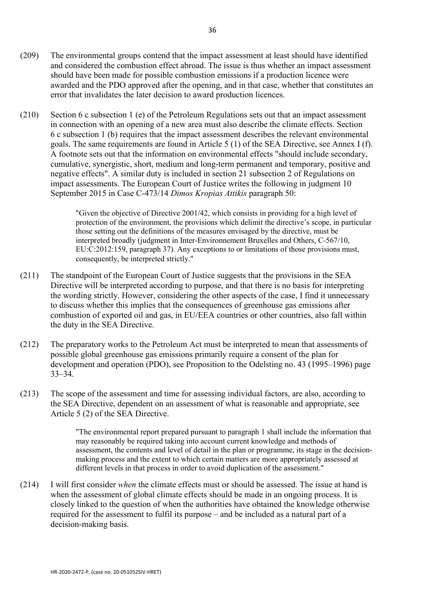- (209) The environmental groups contend that the impact assessment at least should have identified and considered the combustion effect abroad. The issue is thus whether an impact assessment should have been made for possible combustion emissions if a production licence were awarded and the PDO approved after the opening, and in that case, whether that constitutes an error that invalidates the later decision to award production licences.
- (210) Section 6 c subsection 1 (e) of the Petroleum Regulations sets out that an impact assessment in connection with an opening of a new area must also describe the climate effects. Section 6 c subsection 1 (b) requires that the impact assessment describes the relevant environmental goals. The same requirements are found in Article 5 (1) of the SEA Directive, see Annex I (f). A footnote sets out that the information on environmental effects "should include secondary, cumulative, synergistic, short, medium and long-term permanent and temporary, positive and negative effects". A similar duty is included in section 21 subsection 2 of Regulations on impact assessments. The European Court of Justice writes the following in judgment 10 September 2015 in Case C-473/14 *Dimos Kropias Attikis* paragraph 50:

"Given the objective of Directive 2001/42, which consists in providing for a high level of protection of the environment, the provisions which delimit the directive's scope, in particular those setting out the definitions of the measures envisaged by the directive, must be interpreted broadly (judgment in Inter-Environnement Bruxelles and Others, C‑567/10, EU:C:2012:159, paragraph 37). Any exceptions to or limitations of those provisions must, consequently, be interpreted strictly."

- (211) The standpoint of the European Court of Justice suggests that the provisions in the SEA Directive will be interpreted according to purpose, and that there is no basis for interpreting the wording strictly. However, considering the other aspects of the case, I find it unnecessary to discuss whether this implies that the consequences of greenhouse gas emissions after combustion of exported oil and gas, in EU/EEA countries or other countries, also fall within the duty in the SEA Directive.
- (212) The preparatory works to the Petroleum Act must be interpreted to mean that assessments of possible global greenhouse gas emissions primarily require a consent of the plan for development and operation (PDO), see Proposition to the Odelsting no. 43 (1995–1996) page 33–34.
- (213) The scope of the assessment and time for assessing individual factors, are also, according to the SEA Directive, dependent on an assessment of what is reasonable and appropriate, see Article 5 (2) of the SEA Directive.

"The environmental report prepared pursuant to paragraph 1 shall include the information that may reasonably be required taking into account current knowledge and methods of assessment, the contents and level of detail in the plan or programme, its stage in the decisionmaking process and the extent to which certain matters are more appropriately assessed at different levels in that process in order to avoid duplication of the assessment."

(214) I will first consider *when* the climate effects must or should be assessed. The issue at hand is when the assessment of global climate effects should be made in an ongoing process. It is closely linked to the question of when the authorities have obtained the knowledge otherwise required for the assessment to fulfil its purpose – and be included as a natural part of a decision-making basis.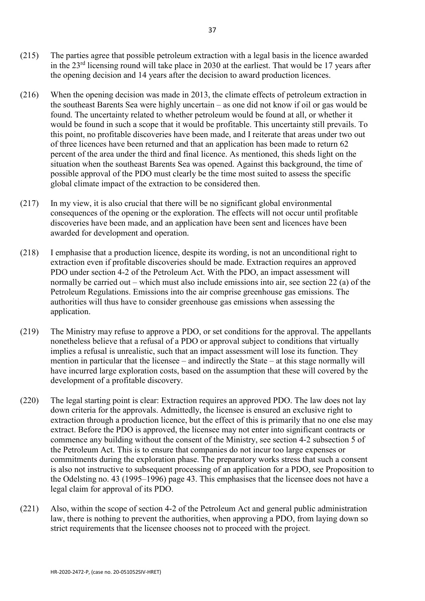- (215) The parties agree that possible petroleum extraction with a legal basis in the licence awarded in the 23rd licensing round will take place in 2030 at the earliest. That would be 17 years after the opening decision and 14 years after the decision to award production licences.
- (216) When the opening decision was made in 2013, the climate effects of petroleum extraction in the southeast Barents Sea were highly uncertain – as one did not know if oil or gas would be found. The uncertainty related to whether petroleum would be found at all, or whether it would be found in such a scope that it would be profitable. This uncertainty still prevails. To this point, no profitable discoveries have been made, and I reiterate that areas under two out of three licences have been returned and that an application has been made to return 62 percent of the area under the third and final licence. As mentioned, this sheds light on the situation when the southeast Barents Sea was opened. Against this background, the time of possible approval of the PDO must clearly be the time most suited to assess the specific global climate impact of the extraction to be considered then.
- (217) In my view, it is also crucial that there will be no significant global environmental consequences of the opening or the exploration. The effects will not occur until profitable discoveries have been made, and an application have been sent and licences have been awarded for development and operation.
- (218) I emphasise that a production licence, despite its wording, is not an unconditional right to extraction even if profitable discoveries should be made. Extraction requires an approved PDO under section 4-2 of the Petroleum Act. With the PDO, an impact assessment will normally be carried out – which must also include emissions into air, see section 22 (a) of the Petroleum Regulations. Emissions into the air comprise greenhouse gas emissions. The authorities will thus have to consider greenhouse gas emissions when assessing the application.
- (219) The Ministry may refuse to approve a PDO, or set conditions for the approval. The appellants nonetheless believe that a refusal of a PDO or approval subject to conditions that virtually implies a refusal is unrealistic, such that an impact assessment will lose its function. They mention in particular that the licensee – and indirectly the State – at this stage normally will have incurred large exploration costs, based on the assumption that these will covered by the development of a profitable discovery.
- (220) The legal starting point is clear: Extraction requires an approved PDO. The law does not lay down criteria for the approvals. Admittedly, the licensee is ensured an exclusive right to extraction through a production licence, but the effect of this is primarily that no one else may extract. Before the PDO is approved, the licensee may not enter into significant contracts or commence any building without the consent of the Ministry, see section 4-2 subsection 5 of the Petroleum Act. This is to ensure that companies do not incur too large expenses or commitments during the exploration phase. The preparatory works stress that such a consent is also not instructive to subsequent processing of an application for a PDO, see Proposition to the Odelsting no. 43 (1995–1996) page 43. This emphasises that the licensee does not have a legal claim for approval of its PDO.
- (221) Also, within the scope of section 4-2 of the Petroleum Act and general public administration law, there is nothing to prevent the authorities, when approving a PDO, from laying down so strict requirements that the licensee chooses not to proceed with the project.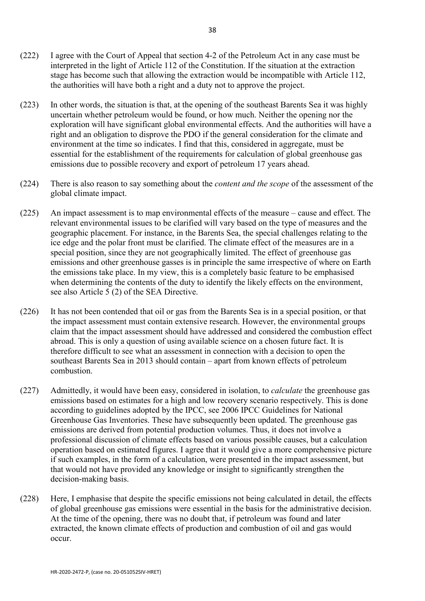- (222) I agree with the Court of Appeal that section 4-2 of the Petroleum Act in any case must be interpreted in the light of Article 112 of the Constitution. If the situation at the extraction stage has become such that allowing the extraction would be incompatible with Article 112, the authorities will have both a right and a duty not to approve the project.
- (223) In other words, the situation is that, at the opening of the southeast Barents Sea it was highly uncertain whether petroleum would be found, or how much. Neither the opening nor the exploration will have significant global environmental effects. And the authorities will have a right and an obligation to disprove the PDO if the general consideration for the climate and environment at the time so indicates. I find that this, considered in aggregate, must be essential for the establishment of the requirements for calculation of global greenhouse gas emissions due to possible recovery and export of petroleum 17 years ahead.
- (224) There is also reason to say something about the *content and the scope* of the assessment of the global climate impact.
- (225) An impact assessment is to map environmental effects of the measure cause and effect. The relevant environmental issues to be clarified will vary based on the type of measures and the geographic placement. For instance, in the Barents Sea, the special challenges relating to the ice edge and the polar front must be clarified. The climate effect of the measures are in a special position, since they are not geographically limited. The effect of greenhouse gas emissions and other greenhouse gasses is in principle the same irrespective of where on Earth the emissions take place. In my view, this is a completely basic feature to be emphasised when determining the contents of the duty to identify the likely effects on the environment, see also Article 5 (2) of the SEA Directive.
- (226) It has not been contended that oil or gas from the Barents Sea is in a special position, or that the impact assessment must contain extensive research. However, the environmental groups claim that the impact assessment should have addressed and considered the combustion effect abroad. This is only a question of using available science on a chosen future fact. It is therefore difficult to see what an assessment in connection with a decision to open the southeast Barents Sea in 2013 should contain – apart from known effects of petroleum combustion.
- (227) Admittedly, it would have been easy, considered in isolation, to *calculate* the greenhouse gas emissions based on estimates for a high and low recovery scenario respectively. This is done according to guidelines adopted by the IPCC, see 2006 IPCC Guidelines for National Greenhouse Gas Inventories. These have subsequently been updated. The greenhouse gas emissions are derived from potential production volumes. Thus, it does not involve a professional discussion of climate effects based on various possible causes, but a calculation operation based on estimated figures. I agree that it would give a more comprehensive picture if such examples, in the form of a calculation, were presented in the impact assessment, but that would not have provided any knowledge or insight to significantly strengthen the decision-making basis.
- (228) Here, I emphasise that despite the specific emissions not being calculated in detail, the effects of global greenhouse gas emissions were essential in the basis for the administrative decision. At the time of the opening, there was no doubt that, if petroleum was found and later extracted, the known climate effects of production and combustion of oil and gas would occur.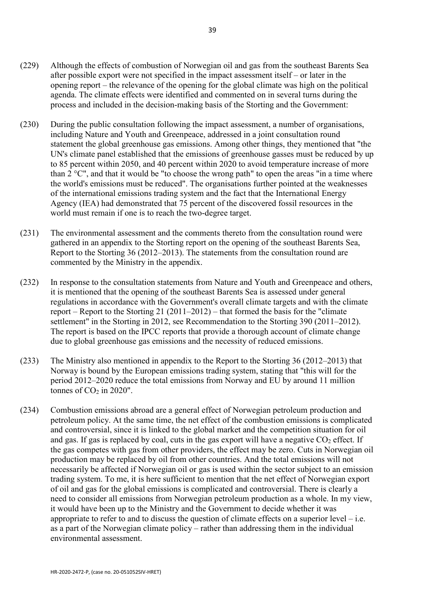- (229) Although the effects of combustion of Norwegian oil and gas from the southeast Barents Sea after possible export were not specified in the impact assessment itself – or later in the opening report – the relevance of the opening for the global climate was high on the political agenda. The climate effects were identified and commented on in several turns during the process and included in the decision-making basis of the Storting and the Government:
- (230) During the public consultation following the impact assessment, a number of organisations, including Nature and Youth and Greenpeace, addressed in a joint consultation round statement the global greenhouse gas emissions. Among other things, they mentioned that "the UN's climate panel established that the emissions of greenhouse gasses must be reduced by up to 85 percent within 2050, and 40 percent within 2020 to avoid temperature increase of more than  $2^{\circ}$ C", and that it would be "to choose the wrong path" to open the areas "in a time where the world's emissions must be reduced". The organisations further pointed at the weaknesses of the international emissions trading system and the fact that the International Energy Agency (IEA) had demonstrated that 75 percent of the discovered fossil resources in the world must remain if one is to reach the two-degree target.
- (231) The environmental assessment and the comments thereto from the consultation round were gathered in an appendix to the Storting report on the opening of the southeast Barents Sea, Report to the Storting 36 (2012–2013). The statements from the consultation round are commented by the Ministry in the appendix.
- (232) In response to the consultation statements from Nature and Youth and Greenpeace and others, it is mentioned that the opening of the southeast Barents Sea is assessed under general regulations in accordance with the Government's overall climate targets and with the climate report – Report to the Storting 21 (2011–2012) – that formed the basis for the "climate" settlement" in the Storting in 2012, see Recommendation to the Storting 390 (2011–2012). The report is based on the IPCC reports that provide a thorough account of climate change due to global greenhouse gas emissions and the necessity of reduced emissions.
- (233) The Ministry also mentioned in appendix to the Report to the Storting 36 (2012–2013) that Norway is bound by the European emissions trading system, stating that "this will for the period 2012–2020 reduce the total emissions from Norway and EU by around 11 million tonnes of  $CO<sub>2</sub>$  in 2020".
- (234) Combustion emissions abroad are a general effect of Norwegian petroleum production and petroleum policy. At the same time, the net effect of the combustion emissions is complicated and controversial, since it is linked to the global market and the competition situation for oil and gas. If gas is replaced by coal, cuts in the gas export will have a negative  $CO<sub>2</sub>$  effect. If the gas competes with gas from other providers, the effect may be zero. Cuts in Norwegian oil production may be replaced by oil from other countries. And the total emissions will not necessarily be affected if Norwegian oil or gas is used within the sector subject to an emission trading system. To me, it is here sufficient to mention that the net effect of Norwegian export of oil and gas for the global emissions is complicated and controversial. There is clearly a need to consider all emissions from Norwegian petroleum production as a whole. In my view, it would have been up to the Ministry and the Government to decide whether it was appropriate to refer to and to discuss the question of climate effects on a superior level – i.e. as a part of the Norwegian climate policy – rather than addressing them in the individual environmental assessment.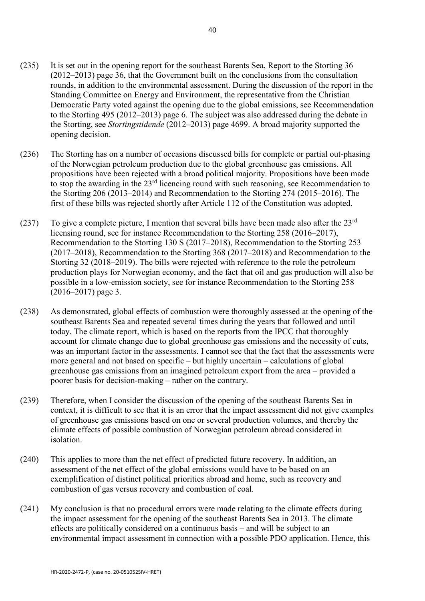- (235) It is set out in the opening report for the southeast Barents Sea, Report to the Storting 36 (2012–2013) page 36, that the Government built on the conclusions from the consultation rounds, in addition to the environmental assessment. During the discussion of the report in the Standing Committee on Energy and Environment, the representative from the Christian Democratic Party voted against the opening due to the global emissions, see Recommendation to the Storting 495 (2012–2013) page 6. The subject was also addressed during the debate in the Storting, see *Stortingstidende* (2012–2013) page 4699. A broad majority supported the opening decision.
- (236) The Storting has on a number of occasions discussed bills for complete or partial out-phasing of the Norwegian petroleum production due to the global greenhouse gas emissions. All propositions have been rejected with a broad political majority. Propositions have been made to stop the awarding in the 23<sup>rd</sup> licencing round with such reasoning, see Recommendation to the Storting 206 (2013–2014) and Recommendation to the Storting 274 (2015–2016). The first of these bills was rejected shortly after Article 112 of the Constitution was adopted.
- (237) To give a complete picture, I mention that several bills have been made also after the  $23<sup>rd</sup>$ licensing round, see for instance Recommendation to the Storting 258 (2016–2017), Recommendation to the Storting 130 S (2017–2018), Recommendation to the Storting 253 (2017–2018), Recommendation to the Storting 368 (2017–2018) and Recommendation to the Storting 32 (2018–2019). The bills were rejected with reference to the role the petroleum production plays for Norwegian economy, and the fact that oil and gas production will also be possible in a low-emission society, see for instance Recommendation to the Storting 258 (2016–2017) page 3.
- (238) As demonstrated, global effects of combustion were thoroughly assessed at the opening of the southeast Barents Sea and repeated several times during the years that followed and until today. The climate report, which is based on the reports from the IPCC that thoroughly account for climate change due to global greenhouse gas emissions and the necessity of cuts, was an important factor in the assessments. I cannot see that the fact that the assessments were more general and not based on specific – but highly uncertain – calculations of global greenhouse gas emissions from an imagined petroleum export from the area – provided a poorer basis for decision-making – rather on the contrary.
- (239) Therefore, when I consider the discussion of the opening of the southeast Barents Sea in context, it is difficult to see that it is an error that the impact assessment did not give examples of greenhouse gas emissions based on one or several production volumes, and thereby the climate effects of possible combustion of Norwegian petroleum abroad considered in isolation.
- (240) This applies to more than the net effect of predicted future recovery. In addition, an assessment of the net effect of the global emissions would have to be based on an exemplification of distinct political priorities abroad and home, such as recovery and combustion of gas versus recovery and combustion of coal.
- (241) My conclusion is that no procedural errors were made relating to the climate effects during the impact assessment for the opening of the southeast Barents Sea in 2013. The climate effects are politically considered on a continuous basis – and will be subject to an environmental impact assessment in connection with a possible PDO application. Hence, this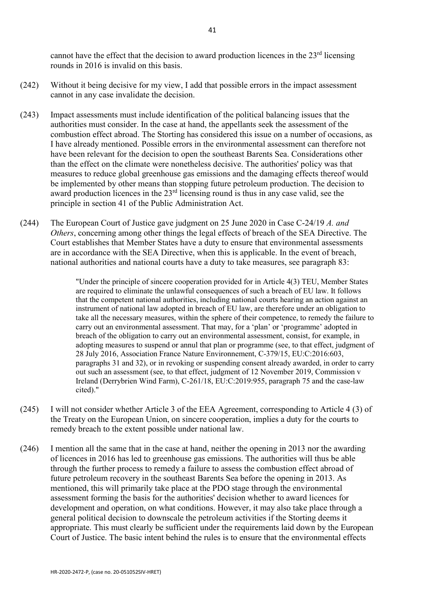cannot have the effect that the decision to award production licences in the  $23<sup>rd</sup>$  licensing rounds in 2016 is invalid on this basis.

- (242) Without it being decisive for my view, I add that possible errors in the impact assessment cannot in any case invalidate the decision.
- (243) Impact assessments must include identification of the political balancing issues that the authorities must consider. In the case at hand, the appellants seek the assessment of the combustion effect abroad. The Storting has considered this issue on a number of occasions, as I have already mentioned. Possible errors in the environmental assessment can therefore not have been relevant for the decision to open the southeast Barents Sea. Considerations other than the effect on the climate were nonetheless decisive. The authorities' policy was that measures to reduce global greenhouse gas emissions and the damaging effects thereof would be implemented by other means than stopping future petroleum production. The decision to award production licences in the 23rd licensing round is thus in any case valid, see the principle in section 41 of the Public Administration Act.
- (244) The European Court of Justice gave judgment on 25 June 2020 in Case C-24/19 *A. and Others*, concerning among other things the legal effects of breach of the SEA Directive. The Court establishes that Member States have a duty to ensure that environmental assessments are in accordance with the SEA Directive, when this is applicable. In the event of breach, national authorities and national courts have a duty to take measures, see paragraph 83:

"Under the principle of sincere cooperation provided for in Article 4(3) TEU, Member States are required to eliminate the unlawful consequences of such a breach of EU law. It follows that the competent national authorities, including national courts hearing an action against an instrument of national law adopted in breach of EU law, are therefore under an obligation to take all the necessary measures, within the sphere of their competence, to remedy the failure to carry out an environmental assessment. That may, for a 'plan' or 'programme' adopted in breach of the obligation to carry out an environmental assessment, consist, for example, in adopting measures to suspend or annul that plan or programme (see, to that effect, judgment of 28 July 2016, Association France Nature Environnement, C‑379/15, EU:C:2016:603, paragraphs 31 and 32), or in revoking or suspending consent already awarded, in order to carry out such an assessment (see, to that effect, judgment of 12 November 2019, Commission v Ireland (Derrybrien Wind Farm), C‑261/18, EU:C:2019:955, paragraph 75 and the case-law cited)."

- (245) I will not consider whether Article 3 of the EEA Agreement, corresponding to Article 4 (3) of the Treaty on the European Union, on sincere cooperation, implies a duty for the courts to remedy breach to the extent possible under national law.
- (246) I mention all the same that in the case at hand, neither the opening in 2013 nor the awarding of licences in 2016 has led to greenhouse gas emissions. The authorities will thus be able through the further process to remedy a failure to assess the combustion effect abroad of future petroleum recovery in the southeast Barents Sea before the opening in 2013. As mentioned, this will primarily take place at the PDO stage through the environmental assessment forming the basis for the authorities' decision whether to award licences for development and operation, on what conditions. However, it may also take place through a general political decision to downscale the petroleum activities if the Storting deems it appropriate. This must clearly be sufficient under the requirements laid down by the European Court of Justice. The basic intent behind the rules is to ensure that the environmental effects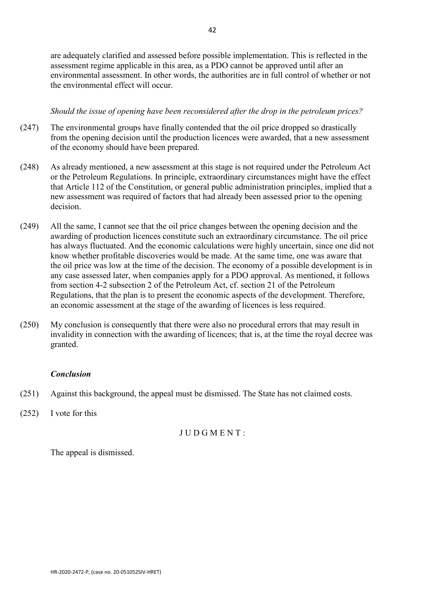are adequately clarified and assessed before possible implementation. This is reflected in the assessment regime applicable in this area, as a PDO cannot be approved until after an environmental assessment. In other words, the authorities are in full control of whether or not the environmental effect will occur.

# *Should the issue of opening have been reconsidered after the drop in the petroleum prices?*

- (247) The environmental groups have finally contended that the oil price dropped so drastically from the opening decision until the production licences were awarded, that a new assessment of the economy should have been prepared.
- (248) As already mentioned, a new assessment at this stage is not required under the Petroleum Act or the Petroleum Regulations. In principle, extraordinary circumstances might have the effect that Article 112 of the Constitution, or general public administration principles, implied that a new assessment was required of factors that had already been assessed prior to the opening decision.
- (249) All the same, I cannot see that the oil price changes between the opening decision and the awarding of production licences constitute such an extraordinary circumstance. The oil price has always fluctuated. And the economic calculations were highly uncertain, since one did not know whether profitable discoveries would be made. At the same time, one was aware that the oil price was low at the time of the decision. The economy of a possible development is in any case assessed later, when companies apply for a PDO approval. As mentioned, it follows from section 4-2 subsection 2 of the Petroleum Act, cf. section 21 of the Petroleum Regulations, that the plan is to present the economic aspects of the development. Therefore, an economic assessment at the stage of the awarding of licences is less required.
- (250) My conclusion is consequently that there were also no procedural errors that may result in invalidity in connection with the awarding of licences; that is, at the time the royal decree was granted.

# *Conclusion*

- (251) Against this background, the appeal must be dismissed. The State has not claimed costs.
- (252) I vote for this

J U D G M E N T :

The appeal is dismissed.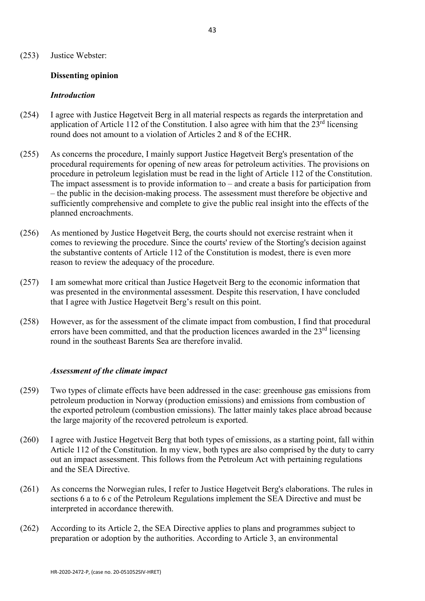#### (253) Justice Webster:

#### **Dissenting opinion**

#### *Introduction*

- (254) I agree with Justice Høgetveit Berg in all material respects as regards the interpretation and application of Article 112 of the Constitution. I also agree with him that the  $23<sup>rd</sup>$  licensing round does not amount to a violation of Articles 2 and 8 of the ECHR.
- (255) As concerns the procedure, I mainly support Justice Høgetveit Berg's presentation of the procedural requirements for opening of new areas for petroleum activities. The provisions on procedure in petroleum legislation must be read in the light of Article 112 of the Constitution. The impact assessment is to provide information to – and create a basis for participation from – the public in the decision-making process. The assessment must therefore be objective and sufficiently comprehensive and complete to give the public real insight into the effects of the planned encroachments.
- (256) As mentioned by Justice Høgetveit Berg, the courts should not exercise restraint when it comes to reviewing the procedure. Since the courts' review of the Storting's decision against the substantive contents of Article 112 of the Constitution is modest, there is even more reason to review the adequacy of the procedure.
- (257) I am somewhat more critical than Justice Høgetveit Berg to the economic information that was presented in the environmental assessment. Despite this reservation, I have concluded that I agree with Justice Høgetveit Berg's result on this point.
- (258) However, as for the assessment of the climate impact from combustion, I find that procedural errors have been committed, and that the production licences awarded in the  $23<sup>rd</sup>$  licensing round in the southeast Barents Sea are therefore invalid.

#### *Assessment of the climate impact*

- (259) Two types of climate effects have been addressed in the case: greenhouse gas emissions from petroleum production in Norway (production emissions) and emissions from combustion of the exported petroleum (combustion emissions). The latter mainly takes place abroad because the large majority of the recovered petroleum is exported.
- (260) I agree with Justice Høgetveit Berg that both types of emissions, as a starting point, fall within Article 112 of the Constitution. In my view, both types are also comprised by the duty to carry out an impact assessment. This follows from the Petroleum Act with pertaining regulations and the SEA Directive.
- (261) As concerns the Norwegian rules, I refer to Justice Høgetveit Berg's elaborations. The rules in sections 6 a to 6 c of the Petroleum Regulations implement the SEA Directive and must be interpreted in accordance therewith.
- (262) According to its Article 2, the SEA Directive applies to plans and programmes subject to preparation or adoption by the authorities. According to Article 3, an environmental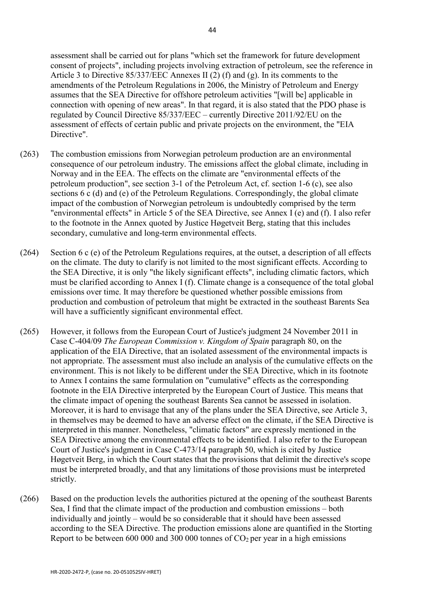assessment shall be carried out for plans "which set the framework for future development consent of projects", including projects involving extraction of petroleum, see the reference in Article 3 to Directive 85/337/EEC Annexes II (2) (f) and (g). In its comments to the amendments of the Petroleum Regulations in 2006, the Ministry of Petroleum and Energy assumes that the SEA Directive for offshore petroleum activities "[will be] applicable in connection with opening of new areas". In that regard, it is also stated that the PDO phase is regulated by Council Directive 85/337/EEC – currently Directive 2011/92/EU on the assessment of effects of certain public and private projects on the environment, the "EIA Directive".

- (263) The combustion emissions from Norwegian petroleum production are an environmental consequence of our petroleum industry. The emissions affect the global climate, including in Norway and in the EEA. The effects on the climate are "environmental effects of the petroleum production", see section 3-1 of the Petroleum Act, cf. section 1-6 (c), see also sections 6 c (d) and (e) of the Petroleum Regulations. Correspondingly, the global climate impact of the combustion of Norwegian petroleum is undoubtedly comprised by the term "environmental effects" in Article 5 of the SEA Directive, see Annex I (e) and (f). I also refer to the footnote in the Annex quoted by Justice Høgetveit Berg, stating that this includes secondary, cumulative and long-term environmental effects.
- (264) Section 6 c (e) of the Petroleum Regulations requires, at the outset, a description of all effects on the climate. The duty to clarify is not limited to the most significant effects. According to the SEA Directive, it is only "the likely significant effects", including climatic factors, which must be clarified according to Annex I (f). Climate change is a consequence of the total global emissions over time. It may therefore be questioned whether possible emissions from production and combustion of petroleum that might be extracted in the southeast Barents Sea will have a sufficiently significant environmental effect.
- (265) However, it follows from the European Court of Justice's judgment 24 November 2011 in Case C-404/09 *The European Commission v. Kingdom of Spain* paragraph 80, on the application of the EIA Directive, that an isolated assessment of the environmental impacts is not appropriate. The assessment must also include an analysis of the cumulative effects on the environment. This is not likely to be different under the SEA Directive, which in its footnote to Annex I contains the same formulation on "cumulative" effects as the corresponding footnote in the EIA Directive interpreted by the European Court of Justice. This means that the climate impact of opening the southeast Barents Sea cannot be assessed in isolation. Moreover, it is hard to envisage that any of the plans under the SEA Directive, see Article 3, in themselves may be deemed to have an adverse effect on the climate, if the SEA Directive is interpreted in this manner. Nonetheless, "climatic factors" are expressly mentioned in the SEA Directive among the environmental effects to be identified. I also refer to the European Court of Justice's judgment in Case C-473/14 paragraph 50, which is cited by Justice Høgetveit Berg, in which the Court states that the provisions that delimit the directive's scope must be interpreted broadly, and that any limitations of those provisions must be interpreted strictly.
- (266) Based on the production levels the authorities pictured at the opening of the southeast Barents Sea, I find that the climate impact of the production and combustion emissions – both individually and jointly – would be so considerable that it should have been assessed according to the SEA Directive. The production emissions alone are quantified in the Storting Report to be between  $600\,000$  and  $300\,000$  tonnes of  $CO<sub>2</sub>$  per year in a high emissions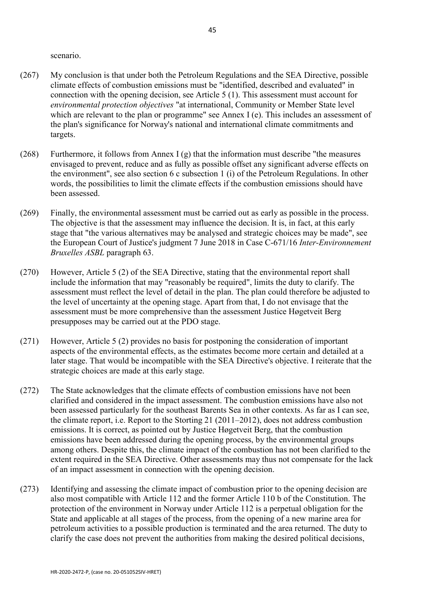scenario.

- (267) My conclusion is that under both the Petroleum Regulations and the SEA Directive, possible climate effects of combustion emissions must be "identified, described and evaluated" in connection with the opening decision, see Article 5 (1). This assessment must account for *environmental protection objectives* "at international, Community or Member State level which are relevant to the plan or programme" see Annex I (e). This includes an assessment of the plan's significance for Norway's national and international climate commitments and targets.
- (268) Furthermore, it follows from Annex I (g) that the information must describe "the measures envisaged to prevent, reduce and as fully as possible offset any significant adverse effects on the environment", see also section 6 c subsection 1 (i) of the Petroleum Regulations. In other words, the possibilities to limit the climate effects if the combustion emissions should have been assessed.
- (269) Finally, the environmental assessment must be carried out as early as possible in the process. The objective is that the assessment may influence the decision. It is, in fact, at this early stage that "the various alternatives may be analysed and strategic choices may be made", see the European Court of Justice's judgment 7 June 2018 in Case C-671/16 *Inter-Environnement Bruxelles ASBL* paragraph 63.
- (270) However, Article 5 (2) of the SEA Directive, stating that the environmental report shall include the information that may "reasonably be required", limits the duty to clarify. The assessment must reflect the level of detail in the plan. The plan could therefore be adjusted to the level of uncertainty at the opening stage. Apart from that, I do not envisage that the assessment must be more comprehensive than the assessment Justice Høgetveit Berg presupposes may be carried out at the PDO stage.
- (271) However, Article 5 (2) provides no basis for postponing the consideration of important aspects of the environmental effects, as the estimates become more certain and detailed at a later stage. That would be incompatible with the SEA Directive's objective. I reiterate that the strategic choices are made at this early stage.
- (272) The State acknowledges that the climate effects of combustion emissions have not been clarified and considered in the impact assessment. The combustion emissions have also not been assessed particularly for the southeast Barents Sea in other contexts. As far as I can see, the climate report, i.e. Report to the Storting 21 (2011–2012), does not address combustion emissions. It is correct, as pointed out by Justice Høgetveit Berg, that the combustion emissions have been addressed during the opening process, by the environmental groups among others. Despite this, the climate impact of the combustion has not been clarified to the extent required in the SEA Directive. Other assessments may thus not compensate for the lack of an impact assessment in connection with the opening decision.
- (273) Identifying and assessing the climate impact of combustion prior to the opening decision are also most compatible with Article 112 and the former Article 110 b of the Constitution. The protection of the environment in Norway under Article 112 is a perpetual obligation for the State and applicable at all stages of the process, from the opening of a new marine area for petroleum activities to a possible production is terminated and the area returned. The duty to clarify the case does not prevent the authorities from making the desired political decisions,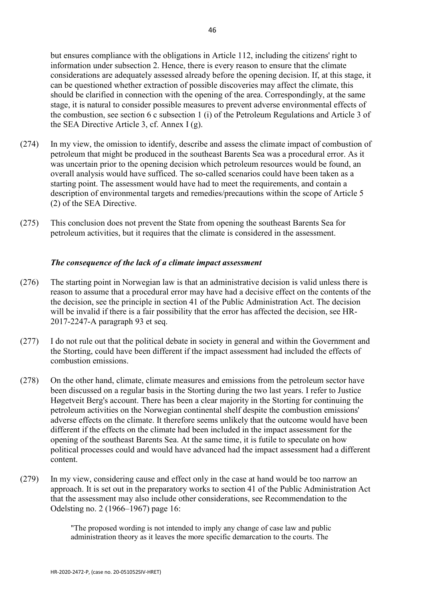but ensures compliance with the obligations in Article 112, including the citizens' right to information under subsection 2. Hence, there is every reason to ensure that the climate considerations are adequately assessed already before the opening decision. If, at this stage, it can be questioned whether extraction of possible discoveries may affect the climate, this should be clarified in connection with the opening of the area. Correspondingly, at the same stage, it is natural to consider possible measures to prevent adverse environmental effects of the combustion, see section 6 c subsection 1 (i) of the Petroleum Regulations and Article 3 of the SEA Directive Article 3, cf. Annex I (g).

- (274) In my view, the omission to identify, describe and assess the climate impact of combustion of petroleum that might be produced in the southeast Barents Sea was a procedural error. As it was uncertain prior to the opening decision which petroleum resources would be found, an overall analysis would have sufficed. The so-called scenarios could have been taken as a starting point. The assessment would have had to meet the requirements, and contain a description of environmental targets and remedies/precautions within the scope of Article 5 (2) of the SEA Directive.
- (275) This conclusion does not prevent the State from opening the southeast Barents Sea for petroleum activities, but it requires that the climate is considered in the assessment.

## *The consequence of the lack of a climate impact assessment*

- (276) The starting point in Norwegian law is that an administrative decision is valid unless there is reason to assume that a procedural error may have had a decisive effect on the contents of the the decision, see the principle in section 41 of the Public Administration Act. The decision will be invalid if there is a fair possibility that the error has affected the decision, see HR-2017-2247-A paragraph 93 et seq.
- (277) I do not rule out that the political debate in society in general and within the Government and the Storting, could have been different if the impact assessment had included the effects of combustion emissions.
- (278) On the other hand, climate, climate measures and emissions from the petroleum sector have been discussed on a regular basis in the Storting during the two last years. I refer to Justice Høgetveit Berg's account. There has been a clear majority in the Storting for continuing the petroleum activities on the Norwegian continental shelf despite the combustion emissions' adverse effects on the climate. It therefore seems unlikely that the outcome would have been different if the effects on the climate had been included in the impact assessment for the opening of the southeast Barents Sea. At the same time, it is futile to speculate on how political processes could and would have advanced had the impact assessment had a different content.
- (279) In my view, considering cause and effect only in the case at hand would be too narrow an approach. It is set out in the preparatory works to section 41 of the Public Administration Act that the assessment may also include other considerations, see Recommendation to the Odelsting no. 2 (1966–1967) page 16:

"The proposed wording is not intended to imply any change of case law and public administration theory as it leaves the more specific demarcation to the courts. The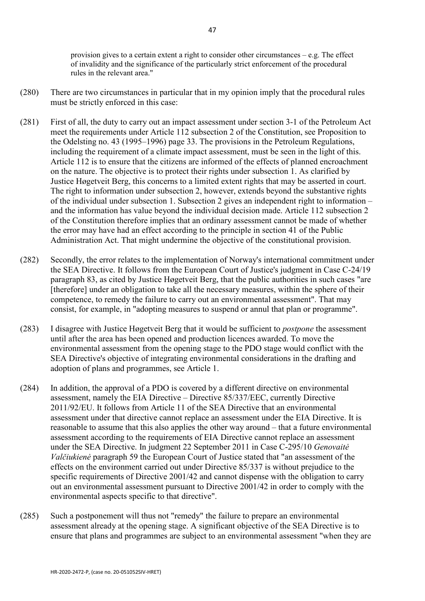provision gives to a certain extent a right to consider other circumstances – e.g. The effect of invalidity and the significance of the particularly strict enforcement of the procedural rules in the relevant area."

- (280) There are two circumstances in particular that in my opinion imply that the procedural rules must be strictly enforced in this case:
- (281) First of all, the duty to carry out an impact assessment under section 3-1 of the Petroleum Act meet the requirements under Article 112 subsection 2 of the Constitution, see Proposition to the Odelsting no. 43 (1995–1996) page 33. The provisions in the Petroleum Regulations, including the requirement of a climate impact assessment, must be seen in the light of this. Article 112 is to ensure that the citizens are informed of the effects of planned encroachment on the nature. The objective is to protect their rights under subsection 1. As clarified by Justice Høgetveit Berg, this concerns to a limited extent rights that may be asserted in court. The right to information under subsection 2, however, extends beyond the substantive rights of the individual under subsection 1. Subsection 2 gives an independent right to information – and the information has value beyond the individual decision made. Article 112 subsection 2 of the Constitution therefore implies that an ordinary assessment cannot be made of whether the error may have had an effect according to the principle in section 41 of the Public Administration Act. That might undermine the objective of the constitutional provision.
- (282) Secondly, the error relates to the implementation of Norway's international commitment under the SEA Directive. It follows from the European Court of Justice's judgment in Case C-24/19 paragraph 83, as cited by Justice Høgetveit Berg, that the public authorities in such cases "are [therefore] under an obligation to take all the necessary measures, within the sphere of their competence, to remedy the failure to carry out an environmental assessment". That may consist, for example, in "adopting measures to suspend or annul that plan or programme".
- (283) I disagree with Justice Høgetveit Berg that it would be sufficient to *postpone* the assessment until after the area has been opened and production licences awarded. To move the environmental assessment from the opening stage to the PDO stage would conflict with the SEA Directive's objective of integrating environmental considerations in the drafting and adoption of plans and programmes, see Article 1.
- (284) In addition, the approval of a PDO is covered by a different directive on environmental assessment, namely the EIA Directive – Directive 85/337/EEC, currently Directive 2011/92/EU. It follows from Article 11 of the SEA Directive that an environmental assessment under that directive cannot replace an assessment under the EIA Directive. It is reasonable to assume that this also applies the other way around – that a future environmental assessment according to the requirements of EIA Directive cannot replace an assessment under the SEA Directive. In judgment 22 September 2011 in Case C-295/10 *Genovaitė Valčiukienė* paragraph 59 the European Court of Justice stated that "an assessment of the effects on the environment carried out under Directive 85/337 is without prejudice to the specific requirements of Directive 2001/42 and cannot dispense with the obligation to carry out an environmental assessment pursuant to Directive 2001/42 in order to comply with the environmental aspects specific to that directive".
- (285) Such a postponement will thus not "remedy" the failure to prepare an environmental assessment already at the opening stage. A significant objective of the SEA Directive is to ensure that plans and programmes are subject to an environmental assessment "when they are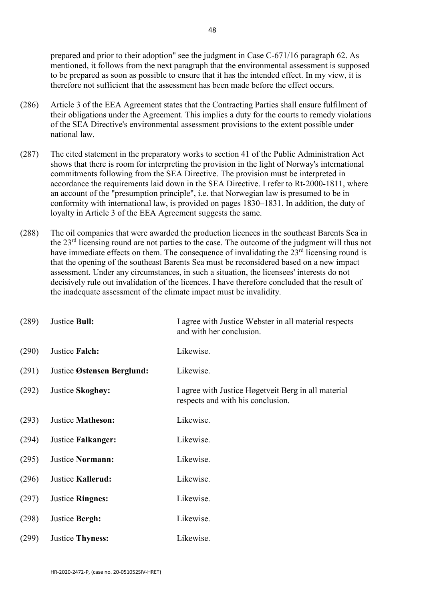prepared and prior to their adoption" see the judgment in Case C-671/16 paragraph 62. As mentioned, it follows from the next paragraph that the environmental assessment is supposed to be prepared as soon as possible to ensure that it has the intended effect. In my view, it is therefore not sufficient that the assessment has been made before the effect occurs.

- (286) Article 3 of the EEA Agreement states that the Contracting Parties shall ensure fulfilment of their obligations under the Agreement. This implies a duty for the courts to remedy violations of the SEA Directive's environmental assessment provisions to the extent possible under national law.
- (287) The cited statement in the preparatory works to section 41 of the Public Administration Act shows that there is room for interpreting the provision in the light of Norway's international commitments following from the SEA Directive. The provision must be interpreted in accordance the requirements laid down in the SEA Directive. I refer to Rt-2000-1811, where an account of the "presumption principle", i.e. that Norwegian law is presumed to be in conformity with international law, is provided on pages 1830–1831. In addition, the duty of loyalty in Article 3 of the EEA Agreement suggests the same.
- (288) The oil companies that were awarded the production licences in the southeast Barents Sea in the 23rd licensing round are not parties to the case. The outcome of the judgment will thus not have immediate effects on them. The consequence of invalidating the  $23<sup>rd</sup>$  licensing round is that the opening of the southeast Barents Sea must be reconsidered based on a new impact assessment. Under any circumstances, in such a situation, the licensees' interests do not decisively rule out invalidation of the licences. I have therefore concluded that the result of the inadequate assessment of the climate impact must be invalidity.

| (289) | Justice Bull:              | I agree with Justice Webster in all material respects<br>and with her conclusion.        |
|-------|----------------------------|------------------------------------------------------------------------------------------|
| (290) | Justice Falch:             | Likewise.                                                                                |
| (291) | Justice Østensen Berglund: | Likewise.                                                                                |
| (292) | Justice Skoghøy:           | I agree with Justice Høgetveit Berg in all material<br>respects and with his conclusion. |
| (293) | <b>Justice Matheson:</b>   | Likewise.                                                                                |
| (294) | Justice Falkanger:         | Likewise.                                                                                |
| (295) | Justice Normann:           | Likewise.                                                                                |
| (296) | Justice Kallerud:          | Likewise.                                                                                |
| (297) | Justice Ringnes:           | Likewise.                                                                                |
| (298) | Justice Bergh:             | Likewise.                                                                                |
| (299) | <b>Justice Thyness:</b>    | Likewise.                                                                                |